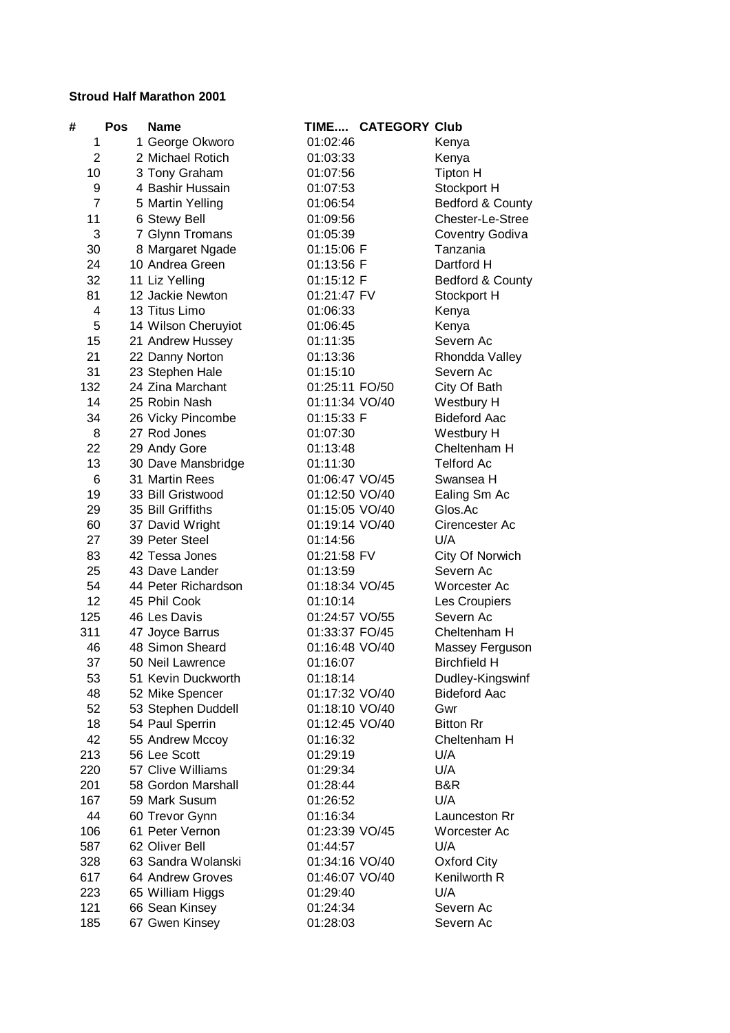## **Stroud Half Marathon 2001**

| #              | Pos | <b>Name</b>         |                | TIME CATEGORY Club |                     |
|----------------|-----|---------------------|----------------|--------------------|---------------------|
| 1              |     | 1 George Okworo     | 01:02:46       |                    | Kenya               |
| $\overline{2}$ |     | 2 Michael Rotich    | 01:03:33       |                    | Kenya               |
| 10             |     | 3 Tony Graham       | 01:07:56       |                    | <b>Tipton H</b>     |
| 9              |     | 4 Bashir Hussain    | 01:07:53       |                    | Stockport H         |
| $\overline{7}$ |     | 5 Martin Yelling    | 01:06:54       |                    | Bedford & County    |
| 11             |     | 6 Stewy Bell        | 01:09:56       |                    | Chester-Le-Stree    |
| 3              |     | 7 Glynn Tromans     | 01:05:39       |                    | Coventry Godiva     |
| 30             |     | 8 Margaret Ngade    | 01:15:06 F     |                    | Tanzania            |
| 24             |     | 10 Andrea Green     | 01:13:56 F     |                    | Dartford H          |
| 32             |     | 11 Liz Yelling      | 01:15:12 F     |                    | Bedford & County    |
| 81             |     | 12 Jackie Newton    | 01:21:47 FV    |                    | Stockport H         |
| 4              |     | 13 Titus Limo       | 01:06:33       |                    | Kenya               |
| 5              |     | 14 Wilson Cheruyiot | 01:06:45       |                    | Kenya               |
| 15             |     | 21 Andrew Hussey    | 01:11:35       |                    | Severn Ac           |
| 21             |     | 22 Danny Norton     | 01:13:36       |                    | Rhondda Valley      |
| 31             |     | 23 Stephen Hale     | 01:15:10       |                    | Severn Ac           |
| 132            |     | 24 Zina Marchant    | 01:25:11 FO/50 |                    | City Of Bath        |
| 14             |     | 25 Robin Nash       | 01:11:34 VO/40 |                    | Westbury H          |
| 34             |     | 26 Vicky Pincombe   | 01:15:33 F     |                    | <b>Bideford Aac</b> |
| 8              |     | 27 Rod Jones        | 01:07:30       |                    | Westbury H          |
| 22             |     | 29 Andy Gore        | 01:13:48       |                    | Cheltenham H        |
| 13             |     | 30 Dave Mansbridge  | 01:11:30       |                    | <b>Telford Ac</b>   |
| 6              |     | 31 Martin Rees      | 01:06:47 VO/45 |                    | Swansea H           |
| 19             |     | 33 Bill Gristwood   | 01:12:50 VO/40 |                    | Ealing Sm Ac        |
| 29             |     | 35 Bill Griffiths   | 01:15:05 VO/40 |                    | Glos.Ac             |
| 60             |     | 37 David Wright     | 01:19:14 VO/40 |                    | Cirencester Ac      |
| 27             |     | 39 Peter Steel      | 01:14:56       |                    | U/A                 |
| 83             |     | 42 Tessa Jones      | 01:21:58 FV    |                    | City Of Norwich     |
| 25             |     | 43 Dave Lander      | 01:13:59       |                    | Severn Ac           |
| 54             |     | 44 Peter Richardson | 01:18:34 VO/45 |                    | Worcester Ac        |
| 12             |     | 45 Phil Cook        | 01:10:14       |                    | Les Croupiers       |
| 125            |     | 46 Les Davis        | 01:24:57 VO/55 |                    | Severn Ac           |
| 311            |     | 47 Joyce Barrus     | 01:33:37 FO/45 |                    | Cheltenham H        |
| 46             |     | 48 Simon Sheard     | 01:16:48 VO/40 |                    | Massey Ferguson     |
| 37             |     | 50 Neil Lawrence    | 01:16:07       |                    | <b>Birchfield H</b> |
| 53             |     | 51 Kevin Duckworth  | 01:18:14       |                    | Dudley-Kingswinf    |
| 48             |     | 52 Mike Spencer     | 01:17:32 VO/40 |                    | <b>Bideford Aac</b> |
| 52             |     | 53 Stephen Duddell  | 01:18:10 VO/40 |                    | Gwr                 |
| 18             |     | 54 Paul Sperrin     | 01:12:45 VO/40 |                    | <b>Bitton Rr</b>    |
| 42             |     | 55 Andrew Mccoy     | 01:16:32       |                    | Cheltenham H        |
| 213            |     | 56 Lee Scott        | 01:29:19       |                    | U/A                 |
| 220            |     | 57 Clive Williams   | 01:29:34       |                    | U/A                 |
| 201            |     | 58 Gordon Marshall  | 01:28:44       |                    | B&R                 |
| 167            |     | 59 Mark Susum       | 01:26:52       |                    | U/A                 |
| 44             |     | 60 Trevor Gynn      | 01:16:34       |                    | Launceston Rr       |
| 106            |     | 61 Peter Vernon     | 01:23:39 VO/45 |                    | Worcester Ac        |
| 587            |     | 62 Oliver Bell      | 01:44:57       |                    | U/A                 |
| 328            |     | 63 Sandra Wolanski  | 01:34:16 VO/40 |                    | Oxford City         |
| 617            |     | 64 Andrew Groves    | 01:46:07 VO/40 |                    | Kenilworth R        |
| 223            |     | 65 William Higgs    | 01:29:40       |                    | U/A                 |
| 121            |     | 66 Sean Kinsey      | 01:24:34       |                    | Severn Ac           |
| 185            |     | 67 Gwen Kinsey      | 01:28:03       |                    | Severn Ac           |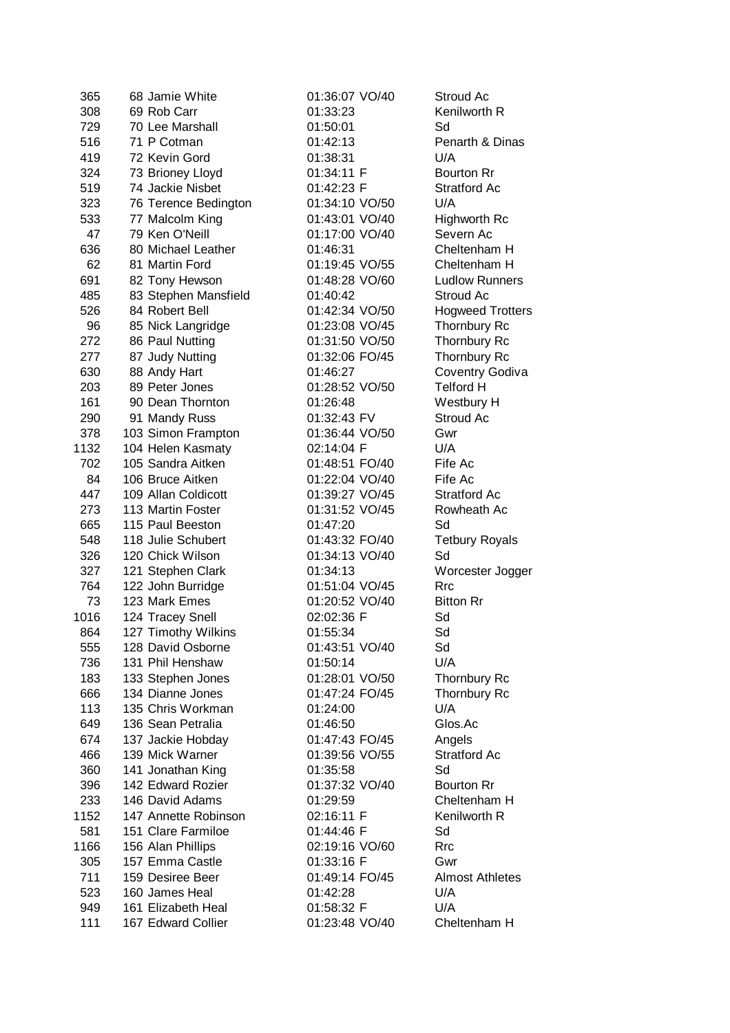| 365  | 68 Jamie White       | 01:36:07 VO/40 | Stroud Ac               |
|------|----------------------|----------------|-------------------------|
| 308  | 69 Rob Carr          | 01:33:23       | Kenilworth R            |
| 729  | 70 Lee Marshall      | 01:50:01       | Sd                      |
| 516  | 71 P Cotman          | 01:42:13       | Penarth & Dinas         |
| 419  | 72 Kevin Gord        | 01:38:31       | U/A                     |
| 324  | 73 Brioney Lloyd     | 01:34:11 F     | <b>Bourton Rr</b>       |
| 519  | 74 Jackie Nisbet     | 01:42:23 F     | <b>Stratford Ac</b>     |
| 323  | 76 Terence Bedington | 01:34:10 VO/50 | U/A                     |
| 533  | 77 Malcolm King      | 01:43:01 VO/40 | Highworth Rc            |
| 47   | 79 Ken O'Neill       | 01:17:00 VO/40 | Severn Ac               |
|      | 80 Michael Leather   | 01:46:31       | Cheltenham H            |
| 636  |                      |                | Cheltenham H            |
| 62   | 81 Martin Ford       | 01:19:45 VO/55 |                         |
| 691  | 82 Tony Hewson       | 01:48:28 VO/60 | <b>Ludlow Runners</b>   |
| 485  | 83 Stephen Mansfield | 01:40:42       | Stroud Ac               |
| 526  | 84 Robert Bell       | 01:42:34 VO/50 | <b>Hogweed Trotters</b> |
| 96   | 85 Nick Langridge    | 01:23:08 VO/45 | Thornbury Rc            |
| 272  | 86 Paul Nutting      | 01:31:50 VO/50 | Thornbury Rc            |
| 277  | 87 Judy Nutting      | 01:32:06 FO/45 | Thornbury Rc            |
| 630  | 88 Andy Hart         | 01:46:27       | Coventry Godiva         |
| 203  | 89 Peter Jones       | 01:28:52 VO/50 | <b>Telford H</b>        |
| 161  | 90 Dean Thornton     | 01:26:48       | Westbury H              |
| 290  | 91 Mandy Russ        | 01:32:43 FV    | Stroud Ac               |
| 378  | 103 Simon Frampton   | 01:36:44 VO/50 | Gwr                     |
| 1132 | 104 Helen Kasmaty    | 02:14:04 F     | U/A                     |
| 702  | 105 Sandra Aitken    | 01:48:51 FO/40 | Fife Ac                 |
| 84   | 106 Bruce Aitken     | 01:22:04 VO/40 | Fife Ac                 |
| 447  | 109 Allan Coldicott  | 01:39:27 VO/45 | Stratford Ac            |
| 273  | 113 Martin Foster    | 01:31:52 VO/45 | Rowheath Ac             |
| 665  | 115 Paul Beeston     | 01:47:20       | Sd                      |
| 548  | 118 Julie Schubert   | 01:43:32 FO/40 | <b>Tetbury Royals</b>   |
| 326  | 120 Chick Wilson     | 01:34:13 VO/40 | Sd                      |
| 327  | 121 Stephen Clark    | 01:34:13       | Worcester Jogger        |
| 764  | 122 John Burridge    | 01:51:04 VO/45 | <b>Rrc</b>              |
| 73   | 123 Mark Emes        | 01:20:52 VO/40 | <b>Bitton Rr</b>        |
| 1016 | 124 Tracey Snell     | 02:02:36 F     | Sd                      |
| 864  | 127 Timothy Wilkins  | 01:55:34       | Sd                      |
| 555  | 128 David Osborne    | 01:43:51 VO/40 | Sd                      |
| 736  | 131 Phil Henshaw     | 01:50:14       | U/A                     |
| 183  | 133 Stephen Jones    | 01:28:01 VO/50 | Thornbury Rc            |
| 666  | 134 Dianne Jones     | 01:47:24 FO/45 | Thornbury Rc            |
| 113  | 135 Chris Workman    | 01:24:00       | U/A                     |
| 649  | 136 Sean Petralia    | 01:46:50       | Glos.Ac                 |
| 674  | 137 Jackie Hobday    | 01:47:43 FO/45 | Angels                  |
| 466  | 139 Mick Warner      | 01:39:56 VO/55 | <b>Stratford Ac</b>     |
| 360  | 141 Jonathan King    | 01:35:58       | Sd                      |
| 396  | 142 Edward Rozier    | 01:37:32 VO/40 | <b>Bourton Rr</b>       |
| 233  | 146 David Adams      | 01:29:59       | Cheltenham H            |
| 1152 | 147 Annette Robinson | 02:16:11 F     | Kenilworth R            |
| 581  | 151 Clare Farmiloe   | 01:44:46 F     | Sd                      |
| 1166 | 156 Alan Phillips    | 02:19:16 VO/60 | <b>Rrc</b>              |
| 305  | 157 Emma Castle      | 01:33:16 F     | Gwr                     |
| 711  | 159 Desiree Beer     | 01:49:14 FO/45 | <b>Almost Athletes</b>  |
| 523  | 160 James Heal       | 01:42:28       | U/A                     |
| 949  | 161 Elizabeth Heal   | 01:58:32 F     | U/A                     |
| 111  | 167 Edward Collier   | 01:23:48 VO/40 | Cheltenham H            |
|      |                      |                |                         |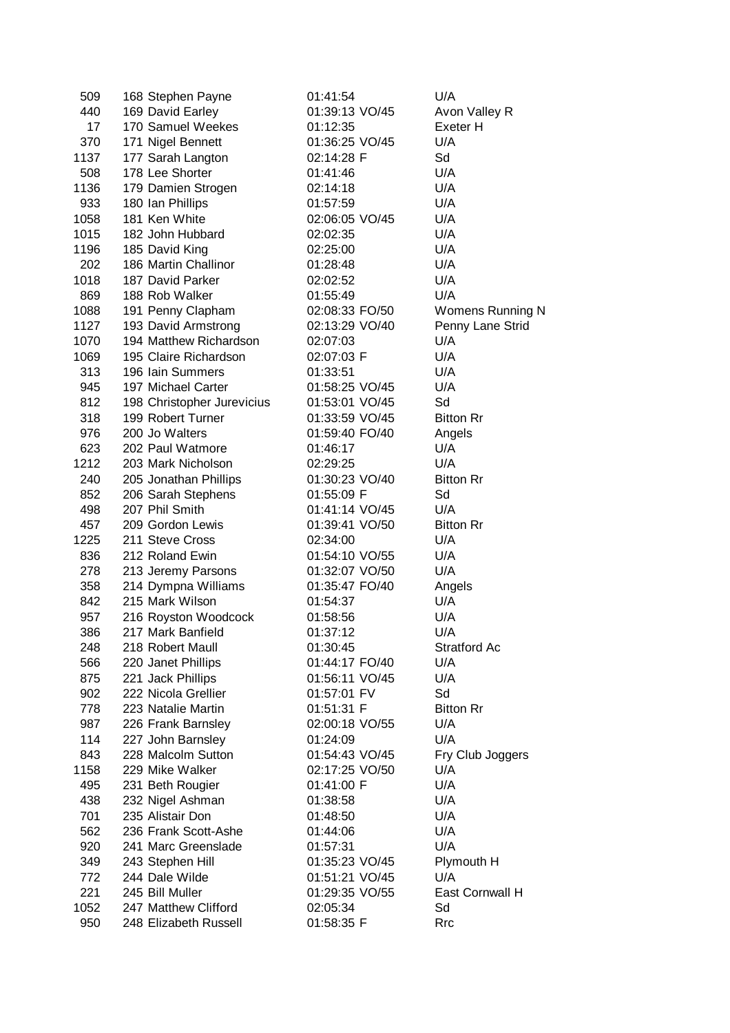| 509  | 168 Stephen Payne          | 01:41:54       | U/A                     |
|------|----------------------------|----------------|-------------------------|
| 440  | 169 David Earley           | 01:39:13 VO/45 | Avon Valley R           |
| 17   | 170 Samuel Weekes          | 01:12:35       | Exeter H                |
| 370  | 171 Nigel Bennett          | 01:36:25 VO/45 | U/A                     |
| 1137 | 177 Sarah Langton          | 02:14:28 F     | Sd                      |
| 508  | 178 Lee Shorter            | 01:41:46       | U/A                     |
| 1136 | 179 Damien Strogen         | 02:14:18       | U/A                     |
| 933  | 180 Ian Phillips           | 01:57:59       | U/A                     |
| 1058 | 181 Ken White              | 02:06:05 VO/45 | U/A                     |
| 1015 | 182 John Hubbard           | 02:02:35       | U/A                     |
| 1196 | 185 David King             | 02:25:00       | U/A                     |
| 202  | 186 Martin Challinor       | 01:28:48       | U/A                     |
| 1018 | 187 David Parker           | 02:02:52       | U/A                     |
| 869  | 188 Rob Walker             | 01:55:49       | U/A                     |
| 1088 | 191 Penny Clapham          | 02:08:33 FO/50 | <b>Womens Running N</b> |
| 1127 | 193 David Armstrong        | 02:13:29 VO/40 | Penny Lane Strid        |
| 1070 | 194 Matthew Richardson     | 02:07:03       | U/A                     |
| 1069 | 195 Claire Richardson      | 02:07:03 F     | U/A                     |
| 313  | 196 Iain Summers           | 01:33:51       | U/A                     |
| 945  | 197 Michael Carter         | 01:58:25 VO/45 | U/A                     |
| 812  | 198 Christopher Jurevicius | 01:53:01 VO/45 | Sd                      |
| 318  | 199 Robert Turner          | 01:33:59 VO/45 | <b>Bitton Rr</b>        |
| 976  | 200 Jo Walters             | 01:59:40 FO/40 | Angels                  |
| 623  | 202 Paul Watmore           | 01:46:17       | U/A                     |
| 1212 | 203 Mark Nicholson         | 02:29:25       | U/A                     |
| 240  | 205 Jonathan Phillips      | 01:30:23 VO/40 | <b>Bitton Rr</b>        |
| 852  | 206 Sarah Stephens         | 01:55:09 F     | Sd                      |
| 498  | 207 Phil Smith             | 01:41:14 VO/45 | U/A                     |
| 457  | 209 Gordon Lewis           | 01:39:41 VO/50 | <b>Bitton Rr</b>        |
| 1225 | 211 Steve Cross            | 02:34:00       | U/A                     |
| 836  | 212 Roland Ewin            | 01:54:10 VO/55 | U/A                     |
| 278  | 213 Jeremy Parsons         | 01:32:07 VO/50 | U/A                     |
| 358  | 214 Dympna Williams        | 01:35:47 FO/40 | Angels                  |
| 842  | 215 Mark Wilson            | 01:54:37       | U/A                     |
| 957  | 216 Royston Woodcock       | 01:58:56       | U/A                     |
| 386  | 217 Mark Banfield          | 01:37:12       | U/A                     |
| 248  | 218 Robert Maull           | 01:30:45       | <b>Stratford Ac</b>     |
| 566  | 220 Janet Phillips         | 01:44:17 FO/40 | U/A                     |
| 875  | 221 Jack Phillips          | 01:56:11 VO/45 | U/A                     |
| 902  | 222 Nicola Grellier        | 01:57:01 FV    | Sd                      |
| 778  | 223 Natalie Martin         | 01:51:31 F     | <b>Bitton Rr</b>        |
| 987  | 226 Frank Barnsley         | 02:00:18 VO/55 | U/A                     |
| 114  | 227 John Barnsley          | 01:24:09       | U/A                     |
| 843  | 228 Malcolm Sutton         | 01:54:43 VO/45 | Fry Club Joggers        |
| 1158 | 229 Mike Walker            | 02:17:25 VO/50 | U/A                     |
| 495  | 231 Beth Rougier           | 01:41:00 F     | U/A                     |
| 438  | 232 Nigel Ashman           | 01:38:58       | U/A                     |
| 701  | 235 Alistair Don           | 01:48:50       | U/A                     |
| 562  | 236 Frank Scott-Ashe       |                | U/A                     |
|      |                            | 01:44:06       |                         |
| 920  | 241 Marc Greenslade        | 01:57:31       | U/A                     |
| 349  | 243 Stephen Hill           | 01:35:23 VO/45 | Plymouth H              |
| 772  | 244 Dale Wilde             | 01:51:21 VO/45 | U/A                     |
| 221  | 245 Bill Muller            | 01:29:35 VO/55 | East Cornwall H         |
| 1052 | 247 Matthew Clifford       | 02:05:34       | Sd                      |
| 950  | 248 Elizabeth Russell      | 01:58:35 F     | <b>Rrc</b>              |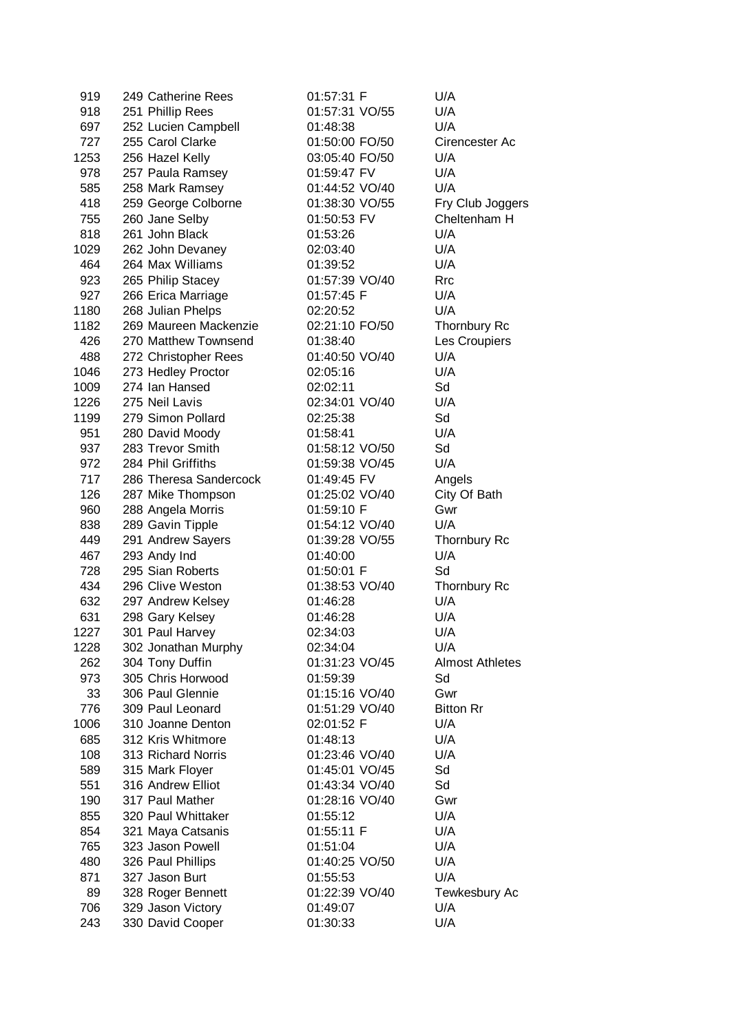| 919  | 249 Catherine Rees     | 01:57:31 F     | U/A                    |
|------|------------------------|----------------|------------------------|
| 918  | 251 Phillip Rees       | 01:57:31 VO/55 | U/A                    |
| 697  | 252 Lucien Campbell    | 01:48:38       | U/A                    |
| 727  | 255 Carol Clarke       | 01:50:00 FO/50 | Cirencester Ac         |
| 1253 | 256 Hazel Kelly        | 03:05:40 FO/50 | U/A                    |
| 978  | 257 Paula Ramsey       | 01:59:47 FV    | U/A                    |
| 585  | 258 Mark Ramsey        | 01:44:52 VO/40 | U/A                    |
| 418  | 259 George Colborne    | 01:38:30 VO/55 | Fry Club Joggers       |
| 755  | 260 Jane Selby         | 01:50:53 FV    | Cheltenham H           |
| 818  | 261 John Black         | 01:53:26       | U/A                    |
| 1029 | 262 John Devaney       | 02:03:40       | U/A                    |
| 464  | 264 Max Williams       | 01:39:52       | U/A                    |
| 923  | 265 Philip Stacey      | 01:57:39 VO/40 | <b>Rrc</b>             |
| 927  | 266 Erica Marriage     | 01:57:45 F     | U/A                    |
| 1180 | 268 Julian Phelps      | 02:20:52       | U/A                    |
| 1182 | 269 Maureen Mackenzie  | 02:21:10 FO/50 | Thornbury Rc           |
| 426  | 270 Matthew Townsend   | 01:38:40       | Les Croupiers          |
| 488  | 272 Christopher Rees   | 01:40:50 VO/40 | U/A                    |
| 1046 | 273 Hedley Proctor     | 02:05:16       | U/A                    |
| 1009 | 274 Ian Hansed         | 02:02:11       | Sd                     |
| 1226 | 275 Neil Lavis         | 02:34:01 VO/40 | U/A                    |
|      | 279 Simon Pollard      |                | Sd                     |
| 1199 |                        | 02:25:38       |                        |
| 951  | 280 David Moody        | 01:58:41       | U/A                    |
| 937  | 283 Trevor Smith       | 01:58:12 VO/50 | Sd                     |
| 972  | 284 Phil Griffiths     | 01:59:38 VO/45 | U/A                    |
| 717  | 286 Theresa Sandercock | 01:49:45 FV    | Angels                 |
| 126  | 287 Mike Thompson      | 01:25:02 VO/40 | City Of Bath           |
| 960  | 288 Angela Morris      | 01:59:10 F     | Gwr                    |
| 838  | 289 Gavin Tipple       | 01:54:12 VO/40 | U/A                    |
| 449  | 291 Andrew Sayers      | 01:39:28 VO/55 | Thornbury Rc           |
| 467  | 293 Andy Ind           | 01:40:00       | U/A                    |
| 728  | 295 Sian Roberts       | 01:50:01 F     | Sd                     |
| 434  | 296 Clive Weston       | 01:38:53 VO/40 | <b>Thornbury Rc</b>    |
| 632  | 297 Andrew Kelsey      | 01:46:28       | U/A                    |
| 631  | 298 Gary Kelsey        | 01:46:28       | U/A                    |
| 1227 | 301 Paul Harvey        | 02:34:03       | U/A                    |
| 1228 | 302 Jonathan Murphy    | 02:34:04       | U/A                    |
| 262  | 304 Tony Duffin        | 01:31:23 VO/45 | <b>Almost Athletes</b> |
| 973  | 305 Chris Horwood      | 01:59:39       | Sd                     |
| 33   | 306 Paul Glennie       | 01:15:16 VO/40 | Gwr                    |
| 776  | 309 Paul Leonard       | 01:51:29 VO/40 | <b>Bitton Rr</b>       |
| 1006 | 310 Joanne Denton      | 02:01:52 F     | U/A                    |
| 685  | 312 Kris Whitmore      | 01:48:13       | U/A                    |
| 108  | 313 Richard Norris     | 01:23:46 VO/40 | U/A                    |
| 589  | 315 Mark Floyer        | 01:45:01 VO/45 | Sd                     |
| 551  | 316 Andrew Elliot      | 01:43:34 VO/40 | Sd                     |
| 190  | 317 Paul Mather        | 01:28:16 VO/40 | Gwr                    |
| 855  | 320 Paul Whittaker     | 01:55:12       | U/A                    |
| 854  | 321 Maya Catsanis      | 01:55:11 F     | U/A                    |
| 765  | 323 Jason Powell       | 01:51:04       | U/A                    |
| 480  | 326 Paul Phillips      | 01:40:25 VO/50 | U/A                    |
| 871  | 327 Jason Burt         | 01:55:53       | U/A                    |
| 89   | 328 Roger Bennett      | 01:22:39 VO/40 | Tewkesbury Ac          |
| 706  | 329 Jason Victory      | 01:49:07       | U/A                    |
| 243  | 330 David Cooper       | 01:30:33       | U/A                    |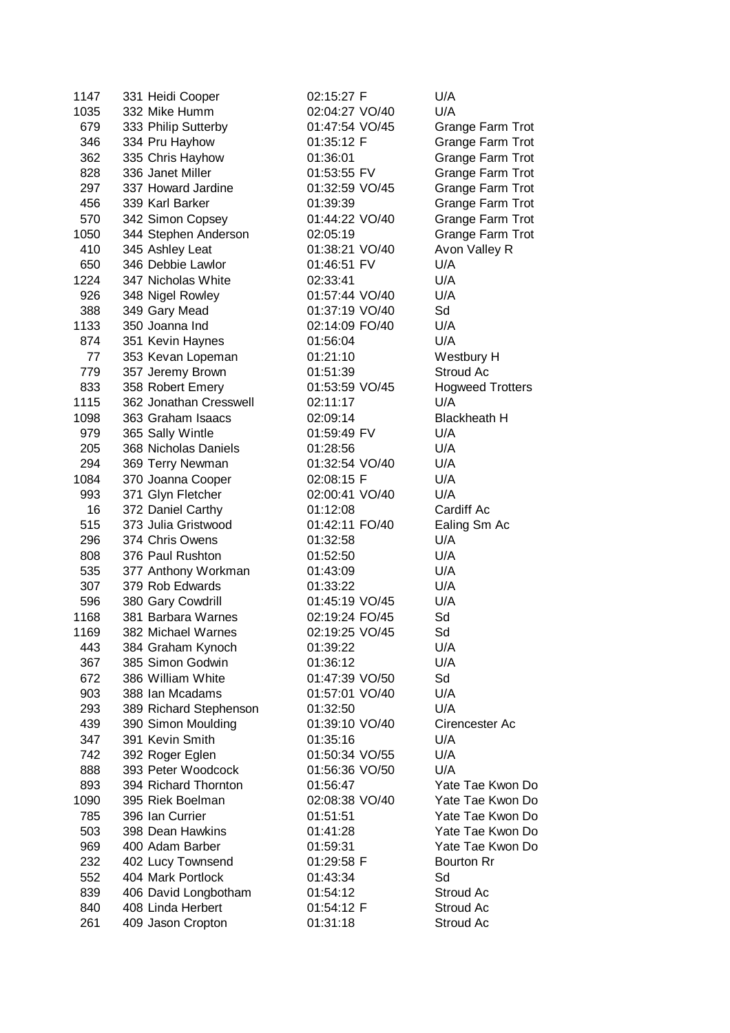| 1147 | 331 Heidi Cooper       | 02:15:27 F     | U/A                     |
|------|------------------------|----------------|-------------------------|
| 1035 | 332 Mike Humm          | 02:04:27 VO/40 | U/A                     |
| 679  | 333 Philip Sutterby    | 01:47:54 VO/45 | Grange Farm Trot        |
| 346  | 334 Pru Hayhow         | 01:35:12 F     | Grange Farm Trot        |
| 362  | 335 Chris Hayhow       | 01:36:01       | Grange Farm Trot        |
| 828  | 336 Janet Miller       | 01:53:55 FV    | Grange Farm Trot        |
| 297  | 337 Howard Jardine     | 01:32:59 VO/45 | Grange Farm Trot        |
| 456  | 339 Karl Barker        | 01:39:39       |                         |
|      |                        |                | Grange Farm Trot        |
| 570  | 342 Simon Copsey       | 01:44:22 VO/40 | Grange Farm Trot        |
| 1050 | 344 Stephen Anderson   | 02:05:19       | Grange Farm Trot        |
| 410  | 345 Ashley Leat        | 01:38:21 VO/40 | Avon Valley R           |
| 650  | 346 Debbie Lawlor      | 01:46:51 FV    | U/A                     |
| 1224 | 347 Nicholas White     | 02:33:41       | U/A                     |
| 926  | 348 Nigel Rowley       | 01:57:44 VO/40 | U/A                     |
| 388  | 349 Gary Mead          | 01:37:19 VO/40 | Sd                      |
| 1133 | 350 Joanna Ind         | 02:14:09 FO/40 | U/A                     |
| 874  | 351 Kevin Haynes       | 01:56:04       | U/A                     |
| 77   | 353 Kevan Lopeman      | 01:21:10       | Westbury H              |
| 779  | 357 Jeremy Brown       | 01:51:39       | Stroud Ac               |
| 833  | 358 Robert Emery       | 01:53:59 VO/45 | <b>Hogweed Trotters</b> |
| 1115 | 362 Jonathan Cresswell | 02:11:17       | U/A                     |
| 1098 | 363 Graham Isaacs      | 02:09:14       | <b>Blackheath H</b>     |
| 979  | 365 Sally Wintle       | 01:59:49 FV    | U/A                     |
| 205  | 368 Nicholas Daniels   | 01:28:56       | U/A                     |
| 294  | 369 Terry Newman       | 01:32:54 VO/40 | U/A                     |
| 1084 | 370 Joanna Cooper      | 02:08:15 F     | U/A                     |
| 993  | 371 Glyn Fletcher      | 02:00:41 VO/40 | U/A                     |
|      |                        |                |                         |
| 16   | 372 Daniel Carthy      | 01:12:08       | Cardiff Ac              |
| 515  | 373 Julia Gristwood    | 01:42:11 FO/40 | Ealing Sm Ac            |
| 296  | 374 Chris Owens        | 01:32:58       | U/A                     |
| 808  | 376 Paul Rushton       | 01:52:50       | U/A                     |
| 535  | 377 Anthony Workman    | 01:43:09       | U/A                     |
| 307  | 379 Rob Edwards        | 01:33:22       | U/A                     |
| 596  | 380 Gary Cowdrill      | 01:45:19 VO/45 | U/A                     |
| 1168 | 381 Barbara Warnes     | 02:19:24 FO/45 | Sd                      |
| 1169 | 382 Michael Warnes     | 02:19:25 VO/45 | Sd                      |
| 443  | 384 Graham Kynoch      | 01:39:22       | U/A                     |
| 367  | 385 Simon Godwin       | 01:36:12       | U/A                     |
| 672  | 386 William White      | 01:47:39 VO/50 | Sd                      |
| 903  | 388 Ian Mcadams        | 01:57:01 VO/40 | U/A                     |
| 293  | 389 Richard Stephenson | 01:32:50       | U/A                     |
| 439  | 390 Simon Moulding     | 01:39:10 VO/40 | Cirencester Ac          |
| 347  | 391 Kevin Smith        | 01:35:16       | U/A                     |
| 742  | 392 Roger Eglen        | 01:50:34 VO/55 | U/A                     |
| 888  | 393 Peter Woodcock     | 01:56:36 VO/50 | U/A                     |
| 893  | 394 Richard Thornton   | 01:56:47       | Yate Tae Kwon Do        |
| 1090 | 395 Riek Boelman       | 02:08:38 VO/40 | Yate Tae Kwon Do        |
| 785  | 396 Ian Currier        | 01:51:51       | Yate Tae Kwon Do        |
|      | 398 Dean Hawkins       |                | Yate Tae Kwon Do        |
| 503  |                        | 01:41:28       |                         |
| 969  | 400 Adam Barber        | 01:59:31       | Yate Tae Kwon Do        |
| 232  | 402 Lucy Townsend      | 01:29:58 F     | <b>Bourton Rr</b>       |
| 552  | 404 Mark Portlock      | 01:43:34       | Sd                      |
| 839  | 406 David Longbotham   | 01:54:12       | Stroud Ac               |
| 840  | 408 Linda Herbert      | 01:54:12 F     | Stroud Ac               |
| 261  | 409 Jason Cropton      | 01:31:18       | Stroud Ac               |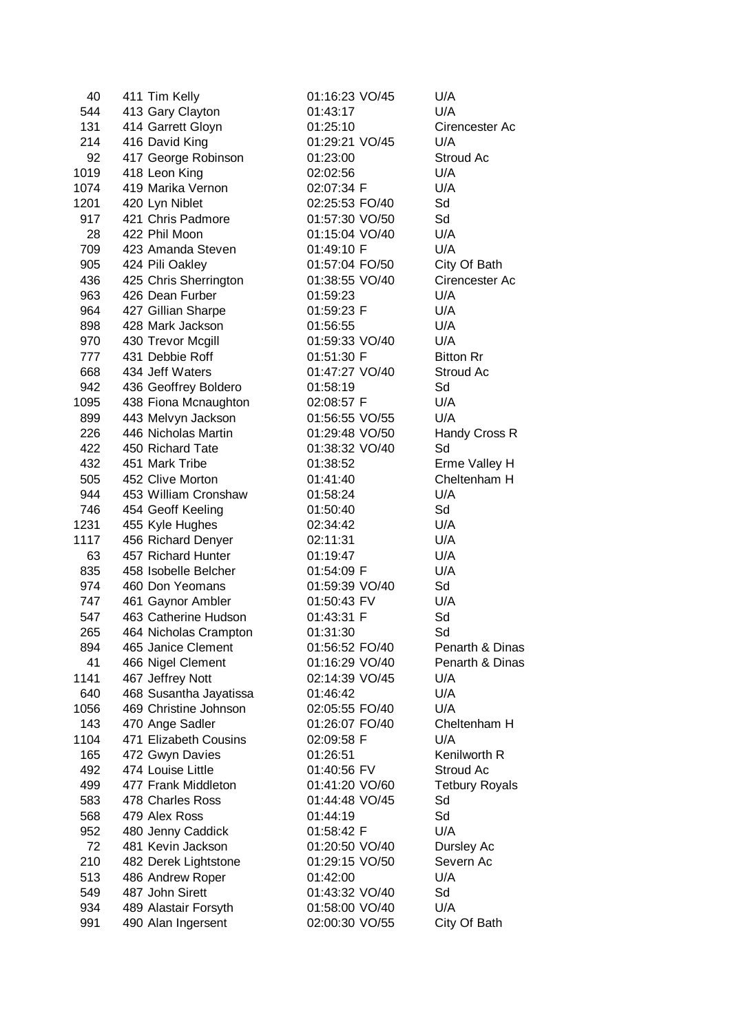| 40   | 411 Tim Kelly                       | 01:16:23 VO/45                   | U/A                     |
|------|-------------------------------------|----------------------------------|-------------------------|
| 544  | 413 Gary Clayton                    | 01:43:17                         | U/A                     |
| 131  | 414 Garrett Gloyn                   | 01:25:10                         | Cirencester Ac          |
| 214  | 416 David King                      | 01:29:21 VO/45                   | U/A                     |
| 92   | 417 George Robinson                 | 01:23:00                         | Stroud Ac               |
| 1019 | 418 Leon King                       | 02:02:56                         | U/A                     |
| 1074 | 419 Marika Vernon                   | 02:07:34 F                       | U/A                     |
| 1201 | 420 Lyn Niblet                      | 02:25:53 FO/40                   | Sd                      |
| 917  | 421 Chris Padmore                   | 01:57:30 VO/50                   | Sd                      |
| 28   | 422 Phil Moon                       | 01:15:04 VO/40                   | U/A                     |
| 709  | 423 Amanda Steven                   | 01:49:10 F                       | U/A                     |
| 905  | 424 Pili Oakley                     | 01:57:04 FO/50                   | City Of Bath            |
| 436  | 425 Chris Sherrington               | 01:38:55 VO/40                   | Cirencester Ac          |
| 963  | 426 Dean Furber                     | 01:59:23                         | U/A                     |
| 964  | 427 Gillian Sharpe                  | 01:59:23 F                       | U/A                     |
| 898  | 428 Mark Jackson                    | 01:56:55                         | U/A                     |
| 970  | 430 Trevor Mcgill                   | 01:59:33 VO/40                   | U/A                     |
| 777  | 431 Debbie Roff                     | 01:51:30 F                       | <b>Bitton Rr</b>        |
| 668  | 434 Jeff Waters                     | 01:47:27 VO/40                   | Stroud Ac               |
| 942  | 436 Geoffrey Boldero                | 01:58:19                         | Sd                      |
| 1095 | 438 Fiona Mcnaughton                | 02:08:57 F                       | U/A                     |
| 899  | 443 Melvyn Jackson                  | 01:56:55 VO/55                   | U/A                     |
| 226  | 446 Nicholas Martin                 | 01:29:48 VO/50                   | Handy Cross R           |
| 422  | 450 Richard Tate                    | 01:38:32 VO/40                   | Sd                      |
| 432  | 451 Mark Tribe                      | 01:38:52                         | Erme Valley H           |
| 505  | 452 Clive Morton                    | 01:41:40                         | Cheltenham H            |
| 944  | 453 William Cronshaw                | 01:58:24                         | U/A                     |
| 746  | 454 Geoff Keeling                   | 01:50:40                         | Sd                      |
| 1231 | 455 Kyle Hughes                     | 02:34:42                         | U/A                     |
| 1117 | 456 Richard Denyer                  | 02:11:31                         | U/A                     |
| 63   | 457 Richard Hunter                  | 01:19:47                         | U/A                     |
| 835  | 458 Isobelle Belcher                | 01:54:09 F                       | U/A                     |
| 974  | 460 Don Yeomans                     | 01:59:39 VO/40                   | Sd                      |
| 747  | 461 Gaynor Ambler                   | 01:50:43 FV                      | U/A                     |
| 547  | 463 Catherine Hudson                | 01:43:31 F                       | Sd                      |
| 265  | 464 Nicholas Crampton               | 01:31:30                         | Sd                      |
| 894  | 465 Janice Clement                  | 01:56:52 FO/40                   | Penarth & Dinas         |
| 41   | 466 Nigel Clement                   | 01:16:29 VO/40                   | Penarth & Dinas         |
| 1141 | 467 Jeffrey Nott                    | 02:14:39 VO/45                   | U/A                     |
| 640  | 468 Susantha Jayatissa              | 01:46:42                         | U/A                     |
| 1056 | 469 Christine Johnson               | 02:05:55 FO/40                   | U/A                     |
| 143  | 470 Ange Sadler                     | 01:26:07 FO/40                   | Cheltenham H            |
| 1104 | 471 Elizabeth Cousins               | 02:09:58 F                       | U/A                     |
| 165  | 472 Gwyn Davies                     | 01:26:51                         | Kenilworth R            |
| 492  | 474 Louise Little                   | 01:40:56 FV                      | Stroud Ac               |
| 499  | 477 Frank Middleton                 | 01:41:20 VO/60                   | <b>Tetbury Royals</b>   |
| 583  | 478 Charles Ross                    | 01:44:48 VO/45                   | Sd                      |
| 568  | 479 Alex Ross                       | 01:44:19                         | Sd                      |
| 952  | 480 Jenny Caddick                   | 01:58:42 F                       | U/A                     |
|      |                                     |                                  |                         |
| 72   | 481 Kevin Jackson                   | 01:20:50 VO/40<br>01:29:15 VO/50 | Dursley Ac<br>Severn Ac |
| 210  | 482 Derek Lightstone                |                                  | U/A                     |
| 513  | 486 Andrew Roper<br>487 John Sirett | 01:42:00                         |                         |
| 549  |                                     | 01:43:32 VO/40                   | Sd<br>U/A               |
| 934  | 489 Alastair Forsyth                | 01:58:00 VO/40                   |                         |
| 991  | 490 Alan Ingersent                  | 02:00:30 VO/55                   | City Of Bath            |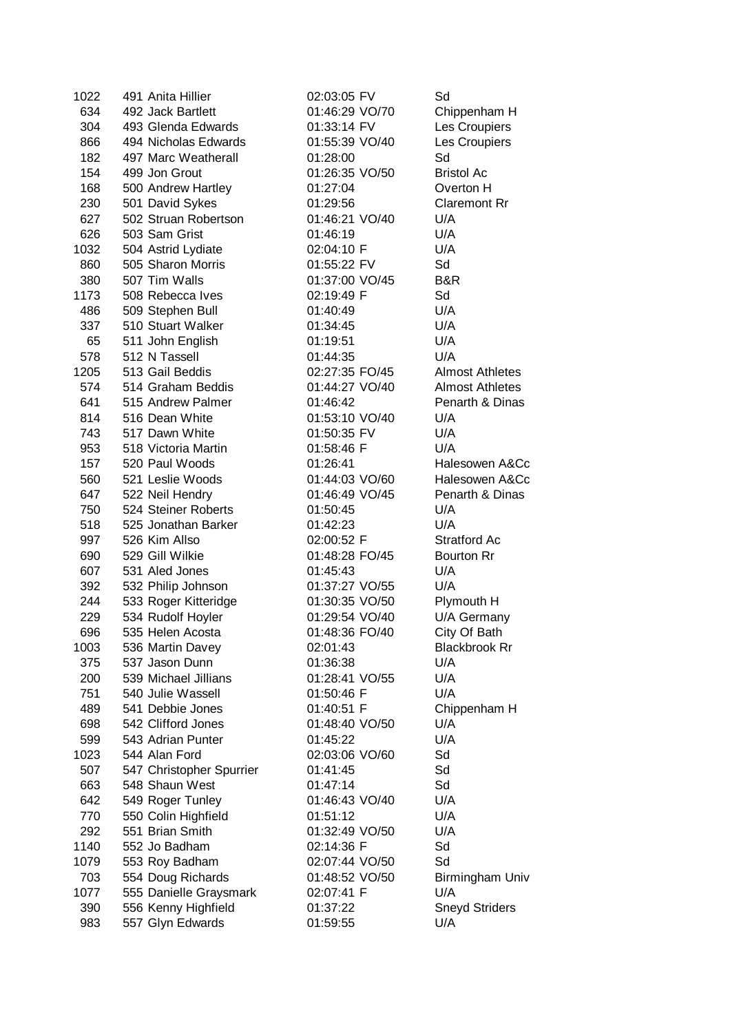| 1022 | 491 Anita Hillier        | 02:03:05 FV    | Sd                     |
|------|--------------------------|----------------|------------------------|
| 634  | 492 Jack Bartlett        | 01:46:29 VO/70 | Chippenham H           |
| 304  | 493 Glenda Edwards       | 01:33:14 FV    | Les Croupiers          |
| 866  | 494 Nicholas Edwards     | 01:55:39 VO/40 | Les Croupiers          |
| 182  | 497 Marc Weatherall      | 01:28:00       | Sd                     |
| 154  | 499 Jon Grout            | 01:26:35 VO/50 | <b>Bristol Ac</b>      |
| 168  | 500 Andrew Hartley       | 01:27:04       | Overton H              |
| 230  | 501 David Sykes          | 01:29:56       | <b>Claremont Rr</b>    |
| 627  | 502 Struan Robertson     | 01:46:21 VO/40 | U/A                    |
| 626  | 503 Sam Grist            | 01:46:19       | U/A                    |
| 1032 | 504 Astrid Lydiate       | 02:04:10 F     | U/A                    |
| 860  | 505 Sharon Morris        | 01:55:22 FV    | Sd                     |
| 380  | 507 Tim Walls            | 01:37:00 VO/45 | B&R                    |
| 1173 | 508 Rebecca Ives         | 02:19:49 F     | Sd                     |
| 486  | 509 Stephen Bull         | 01:40:49       | U/A                    |
| 337  | 510 Stuart Walker        | 01:34:45       | U/A                    |
| 65   | 511 John English         | 01:19:51       | U/A                    |
| 578  | 512 N Tassell            | 01:44:35       | U/A                    |
| 1205 | 513 Gail Beddis          | 02:27:35 FO/45 | <b>Almost Athletes</b> |
| 574  | 514 Graham Beddis        | 01:44:27 VO/40 | <b>Almost Athletes</b> |
| 641  | 515 Andrew Palmer        | 01:46:42       | Penarth & Dinas        |
| 814  | 516 Dean White           | 01:53:10 VO/40 | U/A                    |
| 743  | 517 Dawn White           | 01:50:35 FV    | U/A                    |
| 953  | 518 Victoria Martin      | 01:58:46 F     | U/A                    |
| 157  | 520 Paul Woods           | 01:26:41       | Halesowen A&Cc         |
| 560  | 521 Leslie Woods         | 01:44:03 VO/60 | Halesowen A&Cc         |
| 647  | 522 Neil Hendry          | 01:46:49 VO/45 | Penarth & Dinas        |
| 750  | 524 Steiner Roberts      | 01:50:45       | U/A                    |
| 518  | 525 Jonathan Barker      | 01:42:23       | U/A                    |
| 997  | 526 Kim Allso            | 02:00:52 F     | <b>Stratford Ac</b>    |
| 690  | 529 Gill Wilkie          | 01:48:28 FO/45 | <b>Bourton Rr</b>      |
| 607  | 531 Aled Jones           | 01:45:43       | U/A                    |
| 392  | 532 Philip Johnson       | 01:37:27 VO/55 | U/A                    |
| 244  | 533 Roger Kitteridge     | 01:30:35 VO/50 | Plymouth H             |
| 229  | 534 Rudolf Hoyler        | 01:29:54 VO/40 | U/A Germany            |
| 696  | 535 Helen Acosta         | 01:48:36 FO/40 | City Of Bath           |
| 1003 | 536 Martin Davey         | 02:01:43       | <b>Blackbrook Rr</b>   |
| 375  | 537 Jason Dunn           | 01:36:38       | U/A                    |
| 200  | 539 Michael Jillians     | 01:28:41 VO/55 | U/A                    |
| 751  | 540 Julie Wassell        | 01:50:46 F     | U/A                    |
| 489  | 541 Debbie Jones         | 01:40:51 F     | Chippenham H           |
| 698  | 542 Clifford Jones       | 01:48:40 VO/50 | U/A                    |
| 599  | 543 Adrian Punter        | 01:45:22       | U/A                    |
| 1023 | 544 Alan Ford            | 02:03:06 VO/60 | Sd                     |
| 507  | 547 Christopher Spurrier | 01:41:45       | Sd                     |
| 663  | 548 Shaun West           | 01:47:14       | Sd                     |
| 642  | 549 Roger Tunley         | 01:46:43 VO/40 | U/A                    |
| 770  | 550 Colin Highfield      | 01:51:12       | U/A                    |
| 292  | 551 Brian Smith          | 01:32:49 VO/50 | U/A                    |
| 1140 | 552 Jo Badham            | 02:14:36 F     | Sd                     |
| 1079 | 553 Roy Badham           | 02:07:44 VO/50 | Sd                     |
| 703  | 554 Doug Richards        | 01:48:52 VO/50 | Birmingham Univ        |
| 1077 | 555 Danielle Graysmark   | 02:07:41 F     | U/A                    |
| 390  | 556 Kenny Highfield      | 01:37:22       | <b>Sneyd Striders</b>  |
| 983  | 557 Glyn Edwards         | 01:59:55       | U/A                    |
|      |                          |                |                        |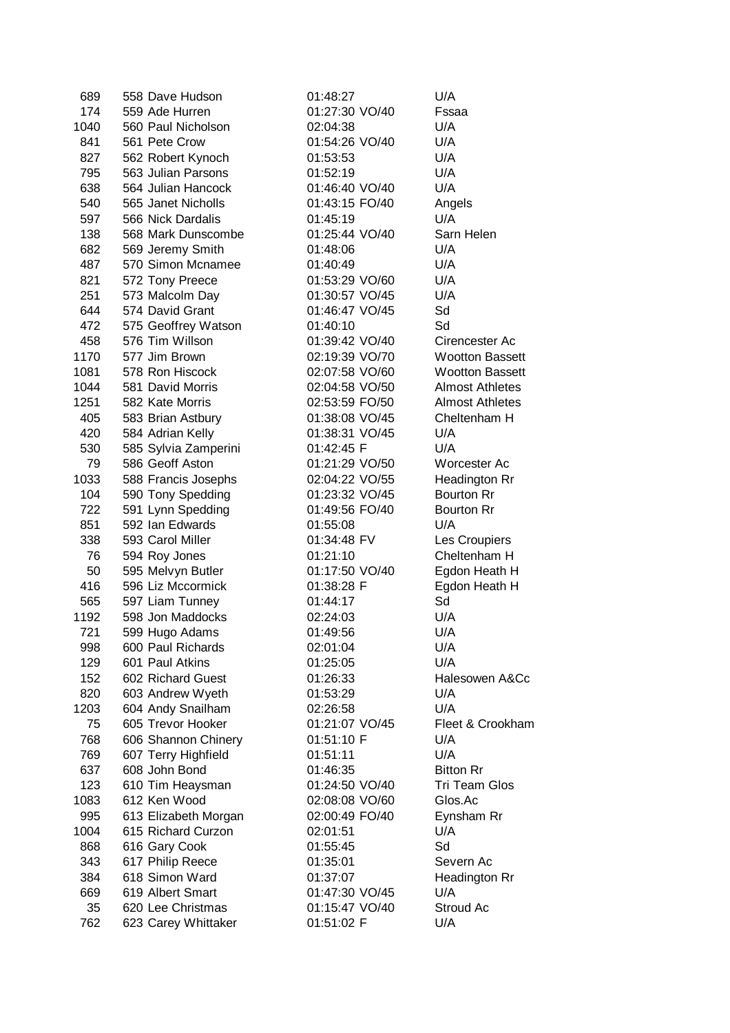| 689  | 558 Dave Hudson      | 01:48:27       | U/A                    |
|------|----------------------|----------------|------------------------|
| 174  | 559 Ade Hurren       | 01:27:30 VO/40 | Fssaa                  |
| 1040 | 560 Paul Nicholson   | 02:04:38       | U/A                    |
| 841  | 561 Pete Crow        | 01:54:26 VO/40 | U/A                    |
| 827  | 562 Robert Kynoch    | 01:53:53       | U/A                    |
| 795  | 563 Julian Parsons   | 01:52:19       | U/A                    |
| 638  | 564 Julian Hancock   | 01:46:40 VO/40 | U/A                    |
|      |                      |                |                        |
| 540  | 565 Janet Nicholls   | 01:43:15 FO/40 | Angels                 |
| 597  | 566 Nick Dardalis    | 01:45:19       | U/A                    |
| 138  | 568 Mark Dunscombe   | 01:25:44 VO/40 | Sarn Helen             |
| 682  | 569 Jeremy Smith     | 01:48:06       | U/A                    |
| 487  | 570 Simon Mcnamee    | 01:40:49       | U/A                    |
| 821  | 572 Tony Preece      | 01:53:29 VO/60 | U/A                    |
| 251  | 573 Malcolm Day      | 01:30:57 VO/45 | U/A                    |
| 644  | 574 David Grant      | 01:46:47 VO/45 | Sd                     |
| 472  | 575 Geoffrey Watson  | 01:40:10       | Sd                     |
| 458  | 576 Tim Willson      | 01:39:42 VO/40 | Cirencester Ac         |
| 1170 | 577 Jim Brown        | 02:19:39 VO/70 | <b>Wootton Bassett</b> |
| 1081 | 578 Ron Hiscock      | 02:07:58 VO/60 | <b>Wootton Bassett</b> |
| 1044 | 581 David Morris     | 02:04:58 VO/50 | <b>Almost Athletes</b> |
| 1251 | 582 Kate Morris      | 02:53:59 FO/50 | <b>Almost Athletes</b> |
| 405  | 583 Brian Astbury    | 01:38:08 VO/45 | Cheltenham H           |
| 420  | 584 Adrian Kelly     | 01:38:31 VO/45 | U/A                    |
|      |                      |                |                        |
| 530  | 585 Sylvia Zamperini | 01:42:45 F     | U/A                    |
| 79   | 586 Geoff Aston      | 01:21:29 VO/50 | Worcester Ac           |
| 1033 | 588 Francis Josephs  | 02:04:22 VO/55 | Headington Rr          |
| 104  | 590 Tony Spedding    | 01:23:32 VO/45 | <b>Bourton Rr</b>      |
| 722  | 591 Lynn Spedding    | 01:49:56 FO/40 | <b>Bourton Rr</b>      |
| 851  | 592 Ian Edwards      | 01:55:08       | U/A                    |
| 338  | 593 Carol Miller     | 01:34:48 FV    | Les Croupiers          |
| 76   | 594 Roy Jones        | 01:21:10       | Cheltenham H           |
| 50   | 595 Melvyn Butler    | 01:17:50 VO/40 | Egdon Heath H          |
| 416  | 596 Liz Mccormick    | 01:38:28 F     | Egdon Heath H          |
| 565  | 597 Liam Tunney      | 01:44:17       | Sd                     |
| 1192 | 598 Jon Maddocks     | 02:24:03       | U/A                    |
| 721  | 599 Hugo Adams       | 01:49:56       | U/A                    |
| 998  | 600 Paul Richards    | 02:01:04       | U/A                    |
| 129  | 601 Paul Atkins      | 01:25:05       | U/A                    |
| 152  | 602 Richard Guest    | 01:26:33       | Halesowen A&Cc         |
| 820  | 603 Andrew Wyeth     | 01:53:29       | U/A                    |
| 1203 |                      |                | U/A                    |
|      | 604 Andy Snailham    | 02:26:58       |                        |
| 75   | 605 Trevor Hooker    | 01:21:07 VO/45 | Fleet & Crookham       |
| 768  | 606 Shannon Chinery  | 01:51:10 F     | U/A                    |
| 769  | 607 Terry Highfield  | 01:51:11       | U/A                    |
| 637  | 608 John Bond        | 01:46:35       | <b>Bitton Rr</b>       |
| 123  | 610 Tim Heaysman     | 01:24:50 VO/40 | <b>Tri Team Glos</b>   |
| 1083 | 612 Ken Wood         | 02:08:08 VO/60 | Glos.Ac                |
| 995  | 613 Elizabeth Morgan | 02:00:49 FO/40 | Eynsham Rr             |
| 1004 | 615 Richard Curzon   | 02:01:51       | U/A                    |
| 868  | 616 Gary Cook        | 01:55:45       | Sd                     |
| 343  | 617 Philip Reece     | 01:35:01       | Severn Ac              |
| 384  | 618 Simon Ward       | 01:37:07       | Headington Rr          |
| 669  | 619 Albert Smart     | 01:47:30 VO/45 | U/A                    |
| 35   | 620 Lee Christmas    | 01:15:47 VO/40 | Stroud Ac              |
| 762  | 623 Carey Whittaker  | 01:51:02 F     | U/A                    |
|      |                      |                |                        |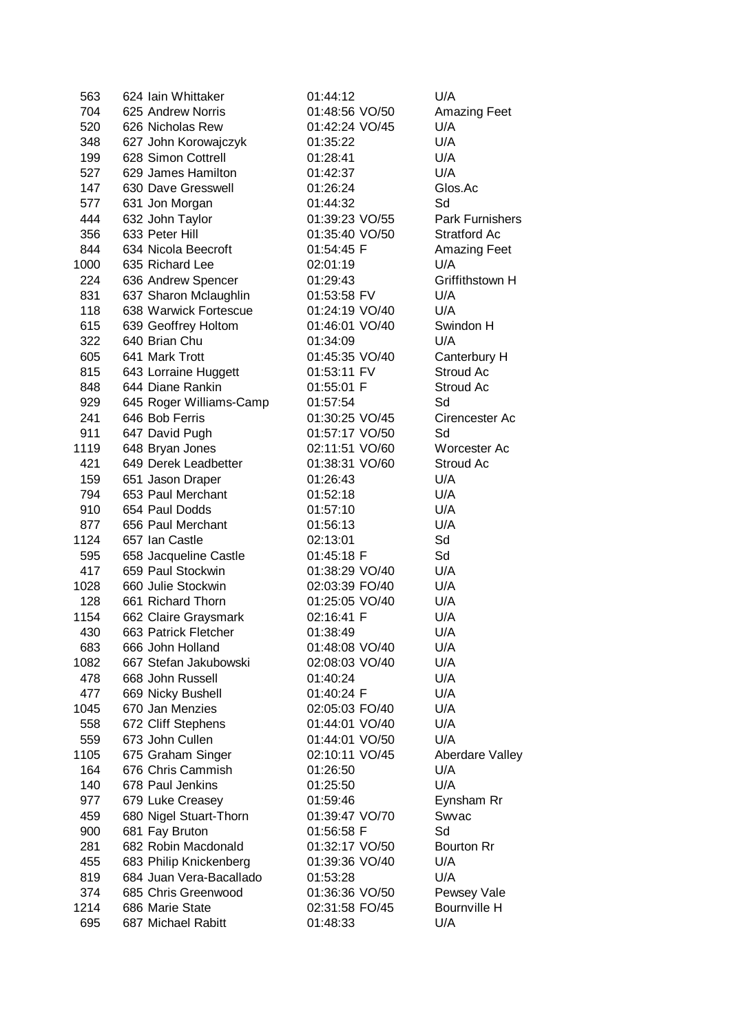| 563  | 624 Iain Whittaker      | 01:44:12       | U/A                 |
|------|-------------------------|----------------|---------------------|
| 704  | 625 Andrew Norris       | 01:48:56 VO/50 | <b>Amazing Feet</b> |
| 520  | 626 Nicholas Rew        | 01:42:24 VO/45 | U/A                 |
| 348  | 627 John Korowajczyk    | 01:35:22       | U/A                 |
| 199  | 628 Simon Cottrell      | 01:28:41       | U/A                 |
| 527  | 629 James Hamilton      | 01:42:37       | U/A                 |
| 147  | 630 Dave Gresswell      | 01:26:24       | Glos.Ac             |
| 577  | 631 Jon Morgan          | 01:44:32       | Sd                  |
| 444  | 632 John Taylor         | 01:39:23 VO/55 | Park Furnishers     |
| 356  | 633 Peter Hill          | 01:35:40 VO/50 | <b>Stratford Ac</b> |
| 844  | 634 Nicola Beecroft     | 01:54:45 F     | <b>Amazing Feet</b> |
| 1000 | 635 Richard Lee         | 02:01:19       | U/A                 |
| 224  | 636 Andrew Spencer      | 01:29:43       | Griffithstown H     |
| 831  | 637 Sharon Mclaughlin   | 01:53:58 FV    | U/A                 |
| 118  | 638 Warwick Fortescue   | 01:24:19 VO/40 | U/A                 |
| 615  | 639 Geoffrey Holtom     | 01:46:01 VO/40 | Swindon H           |
| 322  | 640 Brian Chu           | 01:34:09       | U/A                 |
| 605  | 641 Mark Trott          | 01:45:35 VO/40 | Canterbury H        |
| 815  | 643 Lorraine Huggett    | 01:53:11 FV    | Stroud Ac           |
| 848  | 644 Diane Rankin        | 01:55:01 F     | Stroud Ac           |
| 929  | 645 Roger Williams-Camp | 01:57:54       | Sd                  |
| 241  | 646 Bob Ferris          | 01:30:25 VO/45 | Cirencester Ac      |
| 911  | 647 David Pugh          | 01:57:17 VO/50 | Sd                  |
| 1119 | 648 Bryan Jones         | 02:11:51 VO/60 | Worcester Ac        |
| 421  | 649 Derek Leadbetter    | 01:38:31 VO/60 | Stroud Ac           |
| 159  | 651 Jason Draper        | 01:26:43       | U/A                 |
| 794  | 653 Paul Merchant       | 01:52:18       | U/A                 |
| 910  | 654 Paul Dodds          | 01:57:10       | U/A                 |
| 877  | 656 Paul Merchant       | 01:56:13       | U/A                 |
| 1124 | 657 Ian Castle          | 02:13:01       | Sd                  |
| 595  | 658 Jacqueline Castle   | 01:45:18 F     | Sd                  |
| 417  | 659 Paul Stockwin       | 01:38:29 VO/40 | U/A                 |
| 1028 | 660 Julie Stockwin      | 02:03:39 FO/40 | U/A                 |
| 128  | 661 Richard Thorn       | 01:25:05 VO/40 | U/A                 |
| 1154 | 662 Claire Graysmark    | 02:16:41 F     | U/A                 |
| 430  | 663 Patrick Fletcher    | 01:38:49       | U/A                 |
| 683  | 666 John Holland        | 01:48:08 VO/40 | U/A                 |
| 1082 | 667 Stefan Jakubowski   | 02:08:03 VO/40 | U/A                 |
| 478  | 668 John Russell        | 01:40:24       | U/A                 |
| 477  | 669 Nicky Bushell       | 01:40:24 F     | U/A                 |
| 1045 | 670 Jan Menzies         | 02:05:03 FO/40 | U/A                 |
| 558  | 672 Cliff Stephens      | 01:44:01 VO/40 | U/A                 |
| 559  | 673 John Cullen         | 01:44:01 VO/50 | U/A                 |
| 1105 | 675 Graham Singer       | 02:10:11 VO/45 | Aberdare Valley     |
| 164  | 676 Chris Cammish       | 01:26:50       | U/A                 |
| 140  | 678 Paul Jenkins        | 01:25:50       | U/A                 |
| 977  | 679 Luke Creasey        | 01:59:46       | Eynsham Rr          |
| 459  | 680 Nigel Stuart-Thorn  | 01:39:47 VO/70 | Swvac               |
| 900  | 681 Fay Bruton          | 01:56:58 F     | Sd                  |
| 281  | 682 Robin Macdonald     | 01:32:17 VO/50 | <b>Bourton Rr</b>   |
| 455  | 683 Philip Knickenberg  | 01:39:36 VO/40 | U/A                 |
| 819  | 684 Juan Vera-Bacallado | 01:53:28       | U/A                 |
| 374  | 685 Chris Greenwood     | 01:36:36 VO/50 | Pewsey Vale         |
| 1214 | 686 Marie State         | 02:31:58 FO/45 | Bournville H        |
| 695  | 687 Michael Rabitt      | 01:48:33       | U/A                 |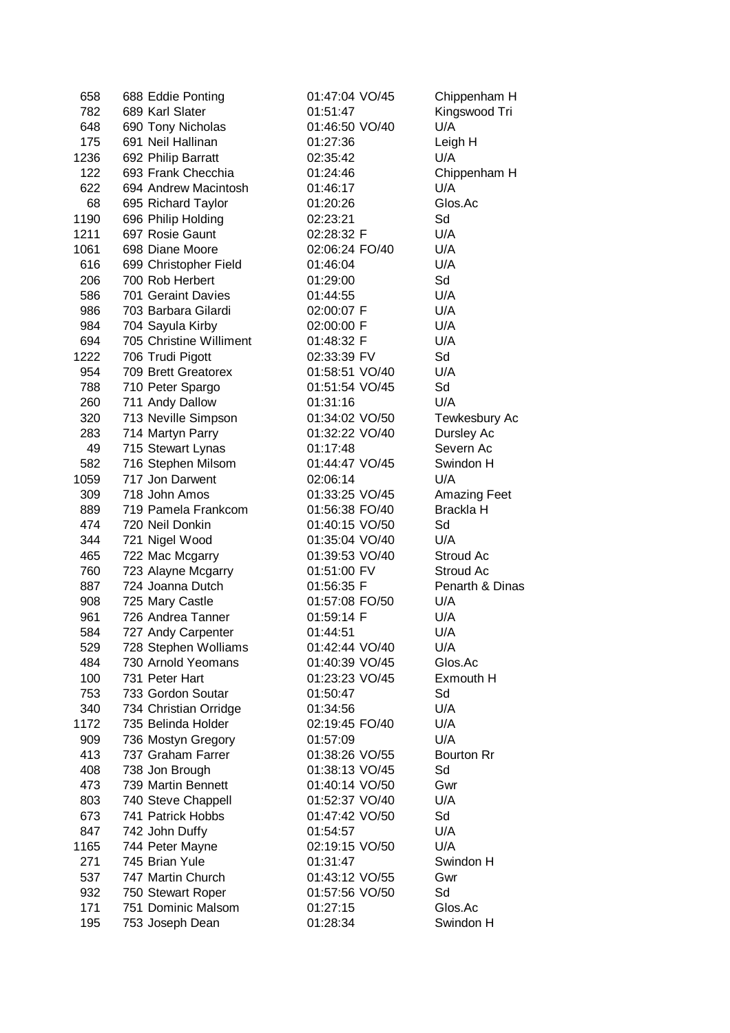| 658         | 688 Eddie Ponting                 | 01:47:04 VO/45             | Chippenham H        |
|-------------|-----------------------------------|----------------------------|---------------------|
| 782         | 689 Karl Slater                   | 01:51:47                   | Kingswood Tri       |
| 648         | 690 Tony Nicholas                 | 01:46:50 VO/40             | U/A                 |
| 175         | 691 Neil Hallinan                 | 01:27:36                   | Leigh H             |
| 1236        | 692 Philip Barratt                | 02:35:42                   | U/A                 |
| 122         | 693 Frank Checchia                | 01:24:46                   | Chippenham H        |
| 622         | 694 Andrew Macintosh              | 01:46:17                   | U/A                 |
| 68          | 695 Richard Taylor                | 01:20:26                   | Glos.Ac             |
| 1190        | 696 Philip Holding                | 02:23:21                   | Sd                  |
| 1211        | 697 Rosie Gaunt                   | 02:28:32 F                 | U/A                 |
| 1061        | 698 Diane Moore                   | 02:06:24 FO/40             | U/A                 |
| 616         | 699 Christopher Field             | 01:46:04                   | U/A                 |
| 206         | 700 Rob Herbert                   | 01:29:00                   | Sd                  |
| 586         | 701 Geraint Davies                | 01:44:55                   | U/A                 |
| 986         | 703 Barbara Gilardi               | 02:00:07 F                 | U/A                 |
| 984         | 704 Sayula Kirby                  | 02:00:00 F                 | U/A                 |
| 694         | 705 Christine Williment           | 01:48:32 F                 | U/A                 |
| 1222        | 706 Trudi Pigott                  | 02:33:39 FV                | Sd                  |
| 954         | 709 Brett Greatorex               | 01:58:51 VO/40             | U/A                 |
| 788         | 710 Peter Spargo                  | 01:51:54 VO/45             | Sd                  |
| 260         | 711 Andy Dallow                   | 01:31:16                   | U/A                 |
| 320         | 713 Neville Simpson               | 01:34:02 VO/50             | Tewkesbury Ac       |
| 283         | 714 Martyn Parry                  | 01:32:22 VO/40             | Dursley Ac          |
| 49          | 715 Stewart Lynas                 | 01:17:48                   | Severn Ac           |
| 582         | 716 Stephen Milsom                | 01:44:47 VO/45             | Swindon H           |
| 1059        | 717 Jon Darwent                   | 02:06:14                   | U/A                 |
| 309         | 718 John Amos                     | 01:33:25 VO/45             | <b>Amazing Feet</b> |
| 889         | 719 Pamela Frankcom               | 01:56:38 FO/40             | <b>Brackla H</b>    |
| 474         | 720 Neil Donkin                   | 01:40:15 VO/50             | Sd                  |
| 344         | 721 Nigel Wood                    | 01:35:04 VO/40             | U/A                 |
| 465         | 722 Mac Mcgarry                   | 01:39:53 VO/40             | Stroud Ac           |
| 760         | 723 Alayne Mcgarry                | 01:51:00 FV                | Stroud Ac           |
| 887         | 724 Joanna Dutch                  | 01:56:35 F                 | Penarth & Dinas     |
| 908         | 725 Mary Castle                   | 01:57:08 FO/50             | U/A                 |
| 961         | 726 Andrea Tanner                 | 01:59:14 F                 | U/A                 |
| 584         | 727 Andy Carpenter                | 01:44:51                   | U/A                 |
| 529         | 728 Stephen Wolliams              | 01:42:44 VO/40             | U/A                 |
| 484         | 730 Arnold Yeomans                | 01:40:39 VO/45             | Glos.Ac             |
| 100         | 731 Peter Hart                    | 01:23:23 VO/45             | Exmouth H           |
| 753         | 733 Gordon Soutar                 | 01:50:47                   | Sd                  |
| 340         | 734 Christian Orridge             | 01:34:56                   | U/A                 |
| 1172        | 735 Belinda Holder                | 02:19:45 FO/40             | U/A                 |
| 909         | 736 Mostyn Gregory                | 01:57:09                   | U/A                 |
| 413         | 737 Graham Farrer                 | 01:38:26 VO/55             | <b>Bourton Rr</b>   |
| 408         | 738 Jon Brough                    | 01:38:13 VO/45             | Sd                  |
| 473         | 739 Martin Bennett                | 01:40:14 VO/50             | Gwr                 |
| 803         | 740 Steve Chappell                | 01:52:37 VO/40             | U/A                 |
| 673         | 741 Patrick Hobbs                 | 01:47:42 VO/50             | Sd                  |
| 847         | 742 John Duffy                    | 01:54:57                   | U/A                 |
|             |                                   |                            |                     |
| 1165<br>271 | 744 Peter Mayne<br>745 Brian Yule | 02:19:15 VO/50<br>01:31:47 | U/A<br>Swindon H    |
|             | 747 Martin Church                 |                            |                     |
| 537         |                                   | 01:43:12 VO/55             | Gwr                 |
| 932<br>171  | 750 Stewart Roper                 | 01:57:56 VO/50             | Sd<br>Glos.Ac       |
|             | 751 Dominic Malsom                | 01:27:15                   |                     |
| 195         | 753 Joseph Dean                   | 01:28:34                   | Swindon H           |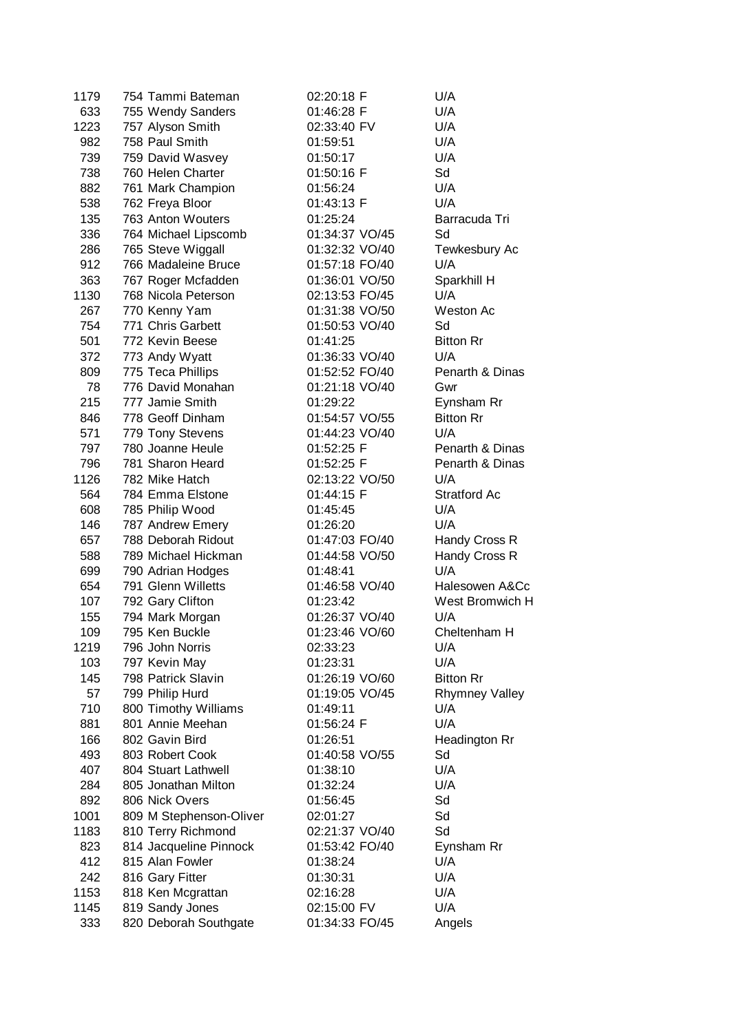| 1179 | 754 Tammi Bateman       | 02:20:18 F     | U/A                   |
|------|-------------------------|----------------|-----------------------|
| 633  | 755 Wendy Sanders       | 01:46:28 F     | U/A                   |
| 1223 | 757 Alyson Smith        | 02:33:40 FV    | U/A                   |
| 982  | 758 Paul Smith          | 01:59:51       | U/A                   |
| 739  | 759 David Wasvey        | 01:50:17       | U/A                   |
| 738  | 760 Helen Charter       | 01:50:16 F     | Sd                    |
| 882  | 761 Mark Champion       | 01:56:24       | U/A                   |
| 538  | 762 Freya Bloor         | 01:43:13 F     | U/A                   |
| 135  | 763 Anton Wouters       | 01:25:24       | Barracuda Tri         |
| 336  | 764 Michael Lipscomb    | 01:34:37 VO/45 | Sd                    |
| 286  | 765 Steve Wiggall       | 01:32:32 VO/40 | Tewkesbury Ac         |
| 912  | 766 Madaleine Bruce     | 01:57:18 FO/40 | U/A                   |
| 363  | 767 Roger Mcfadden      | 01:36:01 VO/50 | Sparkhill H           |
| 1130 | 768 Nicola Peterson     | 02:13:53 FO/45 | U/A                   |
| 267  | 770 Kenny Yam           | 01:31:38 VO/50 | Weston Ac             |
| 754  | 771 Chris Garbett       | 01:50:53 VO/40 | Sd                    |
| 501  | 772 Kevin Beese         | 01:41:25       | <b>Bitton Rr</b>      |
| 372  | 773 Andy Wyatt          | 01:36:33 VO/40 | U/A                   |
| 809  | 775 Teca Phillips       | 01:52:52 FO/40 | Penarth & Dinas       |
| 78   | 776 David Monahan       | 01:21:18 VO/40 | Gwr                   |
|      |                         |                |                       |
| 215  | 777 Jamie Smith         | 01:29:22       | Eynsham Rr            |
| 846  | 778 Geoff Dinham        | 01:54:57 VO/55 | <b>Bitton Rr</b>      |
| 571  | 779 Tony Stevens        | 01:44:23 VO/40 | U/A                   |
| 797  | 780 Joanne Heule        | 01:52:25 F     | Penarth & Dinas       |
| 796  | 781 Sharon Heard        | 01:52:25 F     | Penarth & Dinas       |
| 1126 | 782 Mike Hatch          | 02:13:22 VO/50 | U/A                   |
| 564  | 784 Emma Elstone        | 01:44:15 F     | <b>Stratford Ac</b>   |
| 608  | 785 Philip Wood         | 01:45:45       | U/A                   |
| 146  | 787 Andrew Emery        | 01:26:20       | U/A                   |
| 657  | 788 Deborah Ridout      | 01:47:03 FO/40 | Handy Cross R         |
| 588  | 789 Michael Hickman     | 01:44:58 VO/50 | Handy Cross R         |
| 699  | 790 Adrian Hodges       | 01:48:41       | U/A                   |
| 654  | 791 Glenn Willetts      | 01:46:58 VO/40 | Halesowen A&Cc        |
| 107  | 792 Gary Clifton        | 01:23:42       | West Bromwich H       |
| 155  | 794 Mark Morgan         | 01:26:37 VO/40 | U/A                   |
| 109  | 795 Ken Buckle          | 01:23:46 VO/60 | Cheltenham H          |
| 1219 | 796 John Norris         | 02:33:23       | U/A                   |
| 103  | 797 Kevin May           | 01:23:31       | U/A                   |
| 145  | 798 Patrick Slavin      | 01:26:19 VO/60 | <b>Bitton Rr</b>      |
| 57   | 799 Philip Hurd         | 01:19:05 VO/45 | <b>Rhymney Valley</b> |
| 710  | 800 Timothy Williams    | 01:49:11       | U/A                   |
| 881  | 801 Annie Meehan        | 01:56:24 F     | U/A                   |
| 166  | 802 Gavin Bird          | 01:26:51       | Headington Rr         |
| 493  | 803 Robert Cook         | 01:40:58 VO/55 | Sd                    |
| 407  | 804 Stuart Lathwell     | 01:38:10       | U/A                   |
| 284  | 805 Jonathan Milton     | 01:32:24       | U/A                   |
| 892  | 806 Nick Overs          | 01:56:45       | Sd                    |
| 1001 | 809 M Stephenson-Oliver | 02:01:27       | Sd                    |
| 1183 | 810 Terry Richmond      | 02:21:37 VO/40 | Sd                    |
| 823  | 814 Jacqueline Pinnock  | 01:53:42 FO/40 | Eynsham Rr            |
| 412  | 815 Alan Fowler         | 01:38:24       | U/A                   |
| 242  | 816 Gary Fitter         | 01:30:31       | U/A                   |
| 1153 | 818 Ken Mcgrattan       | 02:16:28       | U/A                   |
| 1145 |                         |                | U/A                   |
|      | 819 Sandy Jones         | 02:15:00 FV    |                       |
| 333  | 820 Deborah Southgate   | 01:34:33 FO/45 | Angels                |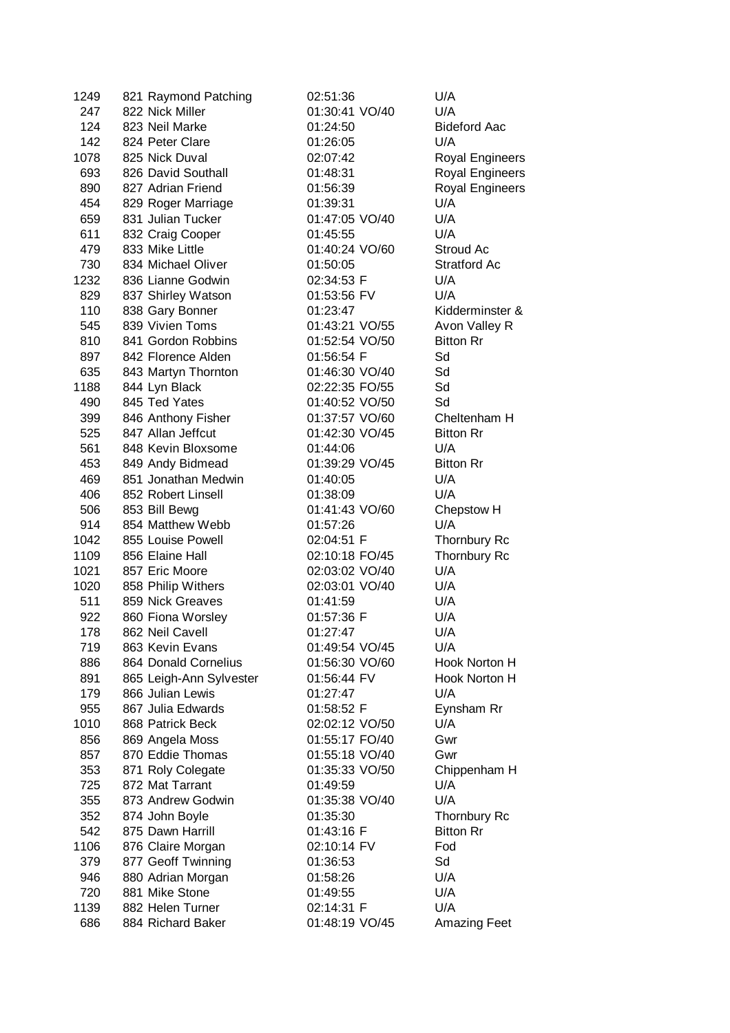| 1249        | 821 Raymond Patching              | 02:51:36               | U/A                    |
|-------------|-----------------------------------|------------------------|------------------------|
| 247         | 822 Nick Miller                   | 01:30:41 VO/40         | U/A                    |
| 124         | 823 Neil Marke                    | 01:24:50               | <b>Bideford Aac</b>    |
| 142         | 824 Peter Clare                   | 01:26:05               | U/A                    |
| 1078        | 825 Nick Duval                    | 02:07:42               | <b>Royal Engineers</b> |
| 693         | 826 David Southall                | 01:48:31               | <b>Royal Engineers</b> |
| 890         | 827 Adrian Friend                 | 01:56:39               | <b>Royal Engineers</b> |
| 454         | 829 Roger Marriage                | 01:39:31               | U/A                    |
| 659         | 831 Julian Tucker                 | 01:47:05 VO/40         | U/A                    |
| 611         | 832 Craig Cooper                  | 01:45:55               | U/A                    |
| 479         | 833 Mike Little                   | 01:40:24 VO/60         | Stroud Ac              |
| 730         | 834 Michael Oliver                | 01:50:05               | Stratford Ac           |
| 1232        | 836 Lianne Godwin                 | 02:34:53 F             | U/A                    |
| 829         | 837 Shirley Watson                | 01:53:56 FV            | U/A                    |
| 110         | 838 Gary Bonner                   | 01:23:47               | Kidderminster &        |
| 545         | 839 Vivien Toms                   | 01:43:21 VO/55         | Avon Valley R          |
| 810         | 841 Gordon Robbins                | 01:52:54 VO/50         | <b>Bitton Rr</b>       |
| 897         | 842 Florence Alden                | 01:56:54 F             | Sd                     |
| 635         | 843 Martyn Thornton               | 01:46:30 VO/40         | Sd                     |
| 1188        | 844 Lyn Black                     | 02:22:35 FO/55         | Sd                     |
| 490         | 845 Ted Yates                     | 01:40:52 VO/50         | Sd                     |
| 399         | 846 Anthony Fisher                | 01:37:57 VO/60         | Cheltenham H           |
| 525         | 847 Allan Jeffcut                 | 01:42:30 VO/45         | <b>Bitton Rr</b>       |
| 561         | 848 Kevin Bloxsome                | 01:44:06               | U/A                    |
| 453         | 849 Andy Bidmead                  | 01:39:29 VO/45         | <b>Bitton Rr</b>       |
| 469         | 851 Jonathan Medwin               | 01:40:05               | U/A                    |
| 406         | 852 Robert Linsell                | 01:38:09               | U/A                    |
|             |                                   |                        |                        |
| 506         | 853 Bill Bewg<br>854 Matthew Webb | 01:41:43 VO/60         | Chepstow H             |
| 914<br>1042 | 855 Louise Powell                 | 01:57:26<br>02:04:51 F | U/A                    |
|             |                                   |                        | Thornbury Rc           |
| 1109        | 856 Elaine Hall                   | 02:10:18 FO/45         | Thornbury Rc           |
| 1021        | 857 Eric Moore                    | 02:03:02 VO/40         | U/A                    |
| 1020        | 858 Philip Withers                | 02:03:01 VO/40         | U/A                    |
| 511         | 859 Nick Greaves                  | 01:41:59               | U/A                    |
| 922         | 860 Fiona Worsley                 | 01:57:36 F             | U/A                    |
| 178         | 862 Neil Cavell                   | 01:27:47               | U/A                    |
| 719         | 863 Kevin Evans                   | 01:49:54 VO/45         | U/A                    |
| 886         | 864 Donald Cornelius              | 01:56:30 VO/60         | Hook Norton H          |
| 891         | 865 Leigh-Ann Sylvester           | 01:56:44 FV            | Hook Norton H          |
| 179         | 866 Julian Lewis                  | 01:27:47               | U/A                    |
| 955         | 867 Julia Edwards                 | 01:58:52 F             | Eynsham Rr             |
| 1010        | 868 Patrick Beck                  | 02:02:12 VO/50         | U/A                    |
| 856         | 869 Angela Moss                   | 01:55:17 FO/40         | Gwr                    |
| 857         | 870 Eddie Thomas                  | 01:55:18 VO/40         | Gwr                    |
| 353         | 871 Roly Colegate                 | 01:35:33 VO/50         | Chippenham H           |
| 725         | 872 Mat Tarrant                   | 01:49:59               | U/A                    |
| 355         | 873 Andrew Godwin                 | 01:35:38 VO/40         | U/A                    |
| 352         | 874 John Boyle                    | 01:35:30               | Thornbury Rc           |
| 542         | 875 Dawn Harrill                  | 01:43:16 F             | <b>Bitton Rr</b>       |
| 1106        | 876 Claire Morgan                 | 02:10:14 FV            | Fod                    |
| 379         | 877 Geoff Twinning                | 01:36:53               | Sd                     |
| 946         | 880 Adrian Morgan                 | 01:58:26               | U/A                    |
| 720         | 881 Mike Stone                    | 01:49:55               | U/A                    |
| 1139        | 882 Helen Turner                  | 02:14:31 F             | U/A                    |
| 686         | 884 Richard Baker                 | 01:48:19 VO/45         | <b>Amazing Feet</b>    |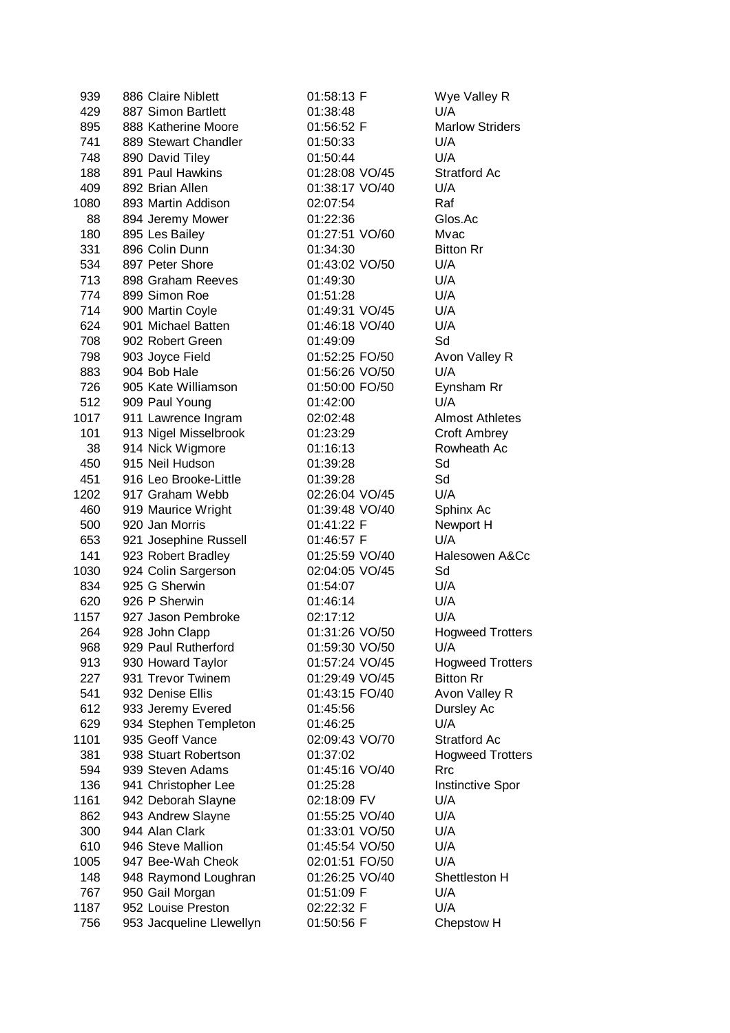| 939  | 886 Claire Niblett       | 01:58:13 F     | Wye Valley R            |
|------|--------------------------|----------------|-------------------------|
| 429  | 887 Simon Bartlett       | 01:38:48       | U/A                     |
| 895  | 888 Katherine Moore      | 01:56:52 F     | <b>Marlow Striders</b>  |
| 741  | 889 Stewart Chandler     | 01:50:33       | U/A                     |
| 748  | 890 David Tiley          | 01:50:44       | U/A                     |
| 188  | 891 Paul Hawkins         | 01:28:08 VO/45 | <b>Stratford Ac</b>     |
| 409  | 892 Brian Allen          | 01:38:17 VO/40 | U/A                     |
| 1080 | 893 Martin Addison       | 02:07:54       | Raf                     |
| 88   | 894 Jeremy Mower         | 01:22:36       | Glos.Ac                 |
| 180  | 895 Les Bailey           | 01:27:51 VO/60 | Mvac                    |
| 331  | 896 Colin Dunn           | 01:34:30       | <b>Bitton Rr</b>        |
| 534  | 897 Peter Shore          | 01:43:02 VO/50 | U/A                     |
| 713  | 898 Graham Reeves        | 01:49:30       | U/A                     |
| 774  | 899 Simon Roe            | 01:51:28       | U/A                     |
| 714  | 900 Martin Coyle         | 01:49:31 VO/45 | U/A                     |
| 624  | 901 Michael Batten       | 01:46:18 VO/40 | U/A                     |
| 708  | 902 Robert Green         | 01:49:09       | Sd                      |
| 798  | 903 Joyce Field          | 01:52:25 FO/50 | Avon Valley R           |
| 883  | 904 Bob Hale             | 01:56:26 VO/50 | U/A                     |
| 726  | 905 Kate Williamson      | 01:50:00 FO/50 | Eynsham Rr              |
| 512  | 909 Paul Young           | 01:42:00       | U/A                     |
| 1017 | 911 Lawrence Ingram      | 02:02:48       | <b>Almost Athletes</b>  |
| 101  | 913 Nigel Misselbrook    | 01:23:29       | <b>Croft Ambrey</b>     |
| 38   | 914 Nick Wigmore         | 01:16:13       | Rowheath Ac             |
| 450  | 915 Neil Hudson          | 01:39:28       | Sd                      |
| 451  | 916 Leo Brooke-Little    | 01:39:28       | Sd                      |
| 1202 | 917 Graham Webb          | 02:26:04 VO/45 | U/A                     |
| 460  | 919 Maurice Wright       | 01:39:48 VO/40 | Sphinx Ac               |
| 500  | 920 Jan Morris           | 01:41:22 F     | Newport H               |
| 653  | 921 Josephine Russell    | 01:46:57 F     | U/A                     |
| 141  | 923 Robert Bradley       | 01:25:59 VO/40 | Halesowen A&Cc          |
| 1030 | 924 Colin Sargerson      | 02:04:05 VO/45 | Sd                      |
| 834  | 925 G Sherwin            | 01:54:07       | U/A                     |
| 620  | 926 P Sherwin            | 01:46:14       | U/A                     |
| 1157 | 927 Jason Pembroke       | 02:17:12       | U/A                     |
| 264  | 928 John Clapp           | 01:31:26 VO/50 | <b>Hogweed Trotters</b> |
| 968  | 929 Paul Rutherford      | 01:59:30 VO/50 | U/A                     |
| 913  | 930 Howard Taylor        | 01:57:24 VO/45 | <b>Hogweed Trotters</b> |
| 227  | 931 Trevor Twinem        | 01:29:49 VO/45 | <b>Bitton Rr</b>        |
| 541  | 932 Denise Ellis         | 01:43:15 FO/40 | Avon Valley R           |
| 612  | 933 Jeremy Evered        | 01:45:56       | Dursley Ac              |
| 629  | 934 Stephen Templeton    | 01:46:25       | U/A                     |
| 1101 | 935 Geoff Vance          | 02:09:43 VO/70 | <b>Stratford Ac</b>     |
| 381  | 938 Stuart Robertson     | 01:37:02       | <b>Hogweed Trotters</b> |
| 594  | 939 Steven Adams         | 01:45:16 VO/40 | <b>Rrc</b>              |
| 136  | 941 Christopher Lee      | 01:25:28       | <b>Instinctive Spor</b> |
| 1161 | 942 Deborah Slayne       | 02:18:09 FV    | U/A                     |
| 862  | 943 Andrew Slayne        | 01:55:25 VO/40 | U/A                     |
| 300  | 944 Alan Clark           | 01:33:01 VO/50 | U/A                     |
| 610  | 946 Steve Mallion        | 01:45:54 VO/50 | U/A                     |
| 1005 | 947 Bee-Wah Cheok        | 02:01:51 FO/50 | U/A                     |
| 148  | 948 Raymond Loughran     | 01:26:25 VO/40 | Shettleston H           |
| 767  | 950 Gail Morgan          | 01:51:09 F     | U/A                     |
| 1187 | 952 Louise Preston       | 02:22:32 F     | U/A                     |
| 756  | 953 Jacqueline Llewellyn | 01:50:56 F     | Chepstow H              |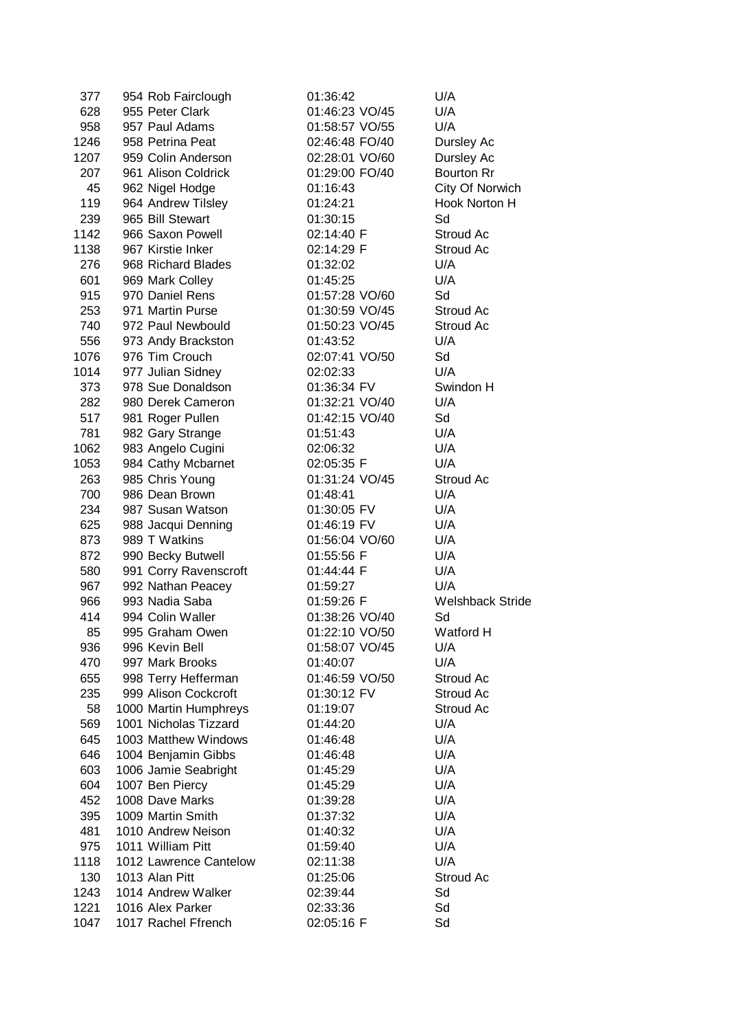| 377        | 954 Rob Fairclough     | 01:36:42             | U/A                     |
|------------|------------------------|----------------------|-------------------------|
| 628        | 955 Peter Clark        | 01:46:23 VO/45       | U/A                     |
| 958        | 957 Paul Adams         | 01:58:57 VO/55       | U/A                     |
| 1246       | 958 Petrina Peat       | 02:46:48 FO/40       | Dursley Ac              |
| 1207       | 959 Colin Anderson     | 02:28:01 VO/60       | Dursley Ac              |
| 207        | 961 Alison Coldrick    | 01:29:00 FO/40       | <b>Bourton Rr</b>       |
| 45         | 962 Nigel Hodge        | 01:16:43             | City Of Norwich         |
| 119        | 964 Andrew Tilsley     | 01:24:21             | Hook Norton H           |
| 239        | 965 Bill Stewart       | 01:30:15             | Sd                      |
|            | 966 Saxon Powell       |                      |                         |
| 1142       |                        | 02:14:40 F           | Stroud Ac               |
| 1138       | 967 Kirstie Inker      | 02:14:29 F           | Stroud Ac               |
| 276        | 968 Richard Blades     | 01:32:02             | U/A                     |
| 601        | 969 Mark Colley        | 01:45:25             | U/A                     |
| 915        | 970 Daniel Rens        | 01:57:28 VO/60       | Sd                      |
| 253        | 971 Martin Purse       | 01:30:59 VO/45       | Stroud Ac               |
| 740        | 972 Paul Newbould      | 01:50:23 VO/45       | Stroud Ac               |
| 556        | 973 Andy Brackston     | 01:43:52             | U/A                     |
| 1076       | 976 Tim Crouch         | 02:07:41 VO/50       | Sd                      |
| 1014       | 977 Julian Sidney      | 02:02:33             | U/A                     |
| 373        | 978 Sue Donaldson      | 01:36:34 FV          | Swindon H               |
| 282        | 980 Derek Cameron      | 01:32:21 VO/40       | U/A                     |
| 517        | 981 Roger Pullen       | 01:42:15 VO/40       | Sd                      |
| 781        | 982 Gary Strange       | 01:51:43             | U/A                     |
| 1062       | 983 Angelo Cugini      | 02:06:32             | U/A                     |
| 1053       | 984 Cathy Mcbarnet     | 02:05:35 F           | U/A                     |
| 263        | 985 Chris Young        | 01:31:24 VO/45       | Stroud Ac               |
| 700        | 986 Dean Brown         | 01:48:41             | U/A                     |
| 234        | 987 Susan Watson       | 01:30:05 FV          | U/A                     |
| 625        | 988 Jacqui Denning     | 01:46:19 FV          | U/A                     |
| 873        | 989 T Watkins          | 01:56:04 VO/60       | U/A                     |
| 872        | 990 Becky Butwell      | 01:55:56 F           | U/A                     |
| 580        | 991 Corry Ravenscroft  | 01:44:44 F           | U/A                     |
| 967        | 992 Nathan Peacey      | 01:59:27             | U/A                     |
| 966        | 993 Nadia Saba         | 01:59:26 F           | <b>Welshback Stride</b> |
| 414        | 994 Colin Waller       | 01:38:26 VO/40       | Sd                      |
| 85         | 995 Graham Owen        | 01:22:10 VO/50       | <b>Watford H</b>        |
| 936        | 996 Kevin Bell         | 01:58:07 VO/45       | U/A                     |
| 470        | 997 Mark Brooks        | 01:40:07             | U/A                     |
| 655        | 998 Terry Hefferman    | 01:46:59 VO/50       | Stroud Ac               |
| 235        | 999 Alison Cockcroft   | 01:30:12 FV          | Stroud Ac               |
| 58         | 1000 Martin Humphreys  | 01:19:07             | Stroud Ac               |
| 569        | 1001 Nicholas Tizzard  | 01:44:20             | U/A                     |
| 645        | 1003 Matthew Windows   | 01:46:48             | U/A                     |
| 646        | 1004 Benjamin Gibbs    | 01:46:48             | U/A                     |
| 603        | 1006 Jamie Seabright   | 01:45:29             | U/A                     |
| 604        | 1007 Ben Piercy        | 01:45:29             | U/A                     |
| 452        | 1008 Dave Marks        | 01:39:28             | U/A                     |
|            | 1009 Martin Smith      |                      | U/A                     |
| 395<br>481 | 1010 Andrew Neison     | 01:37:32             | U/A                     |
| 975        | 1011 William Pitt      | 01:40:32<br>01:59:40 | U/A                     |
| 1118       | 1012 Lawrence Cantelow |                      | U/A                     |
|            |                        | 02:11:38             |                         |
| 130        | 1013 Alan Pitt         | 01:25:06             | Stroud Ac               |
| 1243       | 1014 Andrew Walker     | 02:39:44             | Sd                      |
| 1221       | 1016 Alex Parker       | 02:33:36             | Sd                      |
| 1047       | 1017 Rachel Ffrench    | 02:05:16 F           | Sd                      |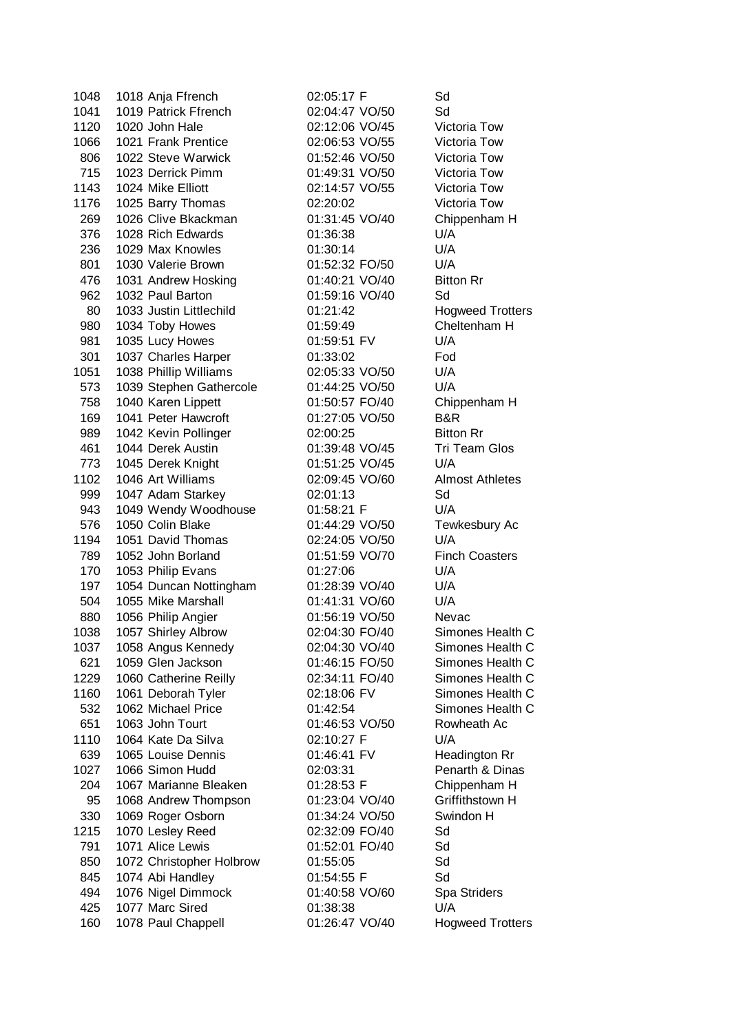| 1048 | 1018 Anja Ffrench                            | 02:05:17 F     | Sd                   |
|------|----------------------------------------------|----------------|----------------------|
| 1041 | 1019 Patrick Ffrench                         | 02:04:47 VO/50 | Sd                   |
| 1120 | 1020 John Hale                               | 02:12:06 VO/45 | Victoria To          |
| 1066 | 1021 Frank Prentice                          | 02:06:53 VO/55 | Victoria To          |
| 806  | 1022 Steve Warwick                           | 01:52:46 VO/50 | Victoria To          |
| 715  | 1023 Derrick Pimm                            | 01:49:31 VO/50 | Victoria To          |
| 1143 | 1024 Mike Elliott                            | 02:14:57 VO/55 | Victoria To          |
| 1176 | 1025 Barry Thomas                            | 02:20:02       | Victoria To          |
| 269  | 1026 Clive Bkackman                          | 01:31:45 VO/40 | Chippenha            |
| 376  | 1028 Rich Edwards                            | 01:36:38       | U/A                  |
| 236  | 1029 Max Knowles                             | 01:30:14       | U/A                  |
| 801  | 1030 Valerie Brown                           | 01:52:32 FO/50 | U/A                  |
| 476  | 1031 Andrew Hosking                          | 01:40:21 VO/40 | <b>Bitton Rr</b>     |
| 962  | 1032 Paul Barton                             | 01:59:16 VO/40 | Sd                   |
| 80   | 1033 Justin Littlechild                      | 01:21:42       | Hogweed 1            |
| 980  | 1034 Toby Howes                              | 01:59:49       | Cheltenhar           |
| 981  | 1035 Lucy Howes                              | 01:59:51 FV    | U/A                  |
| 301  | 1037 Charles Harper                          | 01:33:02       | Fod                  |
| 1051 | 1038 Phillip Williams                        | 02:05:33 VO/50 | U/A                  |
| 573  | 1039 Stephen Gathercole                      | 01:44:25 VO/50 | U/A                  |
| 758  | 1040 Karen Lippett                           | 01:50:57 FO/40 | Chippenha            |
| 169  | 1041 Peter Hawcroft                          | 01:27:05 VO/50 | B&R                  |
| 989  | 1042 Kevin Pollinger                         | 02:00:25       | Bitton Rr            |
| 461  | 1044 Derek Austin                            | 01:39:48 VO/45 | Tri Team C           |
| 773  | 1045 Derek Knight                            | 01:51:25 VO/45 | U/A                  |
| 1102 | 1046 Art Williams                            | 02:09:45 VO/60 | Almost Ath           |
| 999  | 1047 Adam Starkey                            | 02:01:13       | Sd                   |
| 943  |                                              | 01:58:21 F     | U/A                  |
| 576  | 1049 Wendy Woodhouse<br>1050 Colin Blake     | 01:44:29 VO/50 | Tewkesbur            |
| 1194 | 1051 David Thomas                            | 02:24:05 VO/50 | U/A                  |
| 789  | 1052 John Borland                            | 01:51:59 VO/70 | <b>Finch Coas</b>    |
| 170  | 1053 Philip Evans                            | 01:27:06       | U/A                  |
| 197  |                                              | 01:28:39 VO/40 | U/A                  |
| 504  | 1054 Duncan Nottingham<br>1055 Mike Marshall | 01:41:31 VO/60 | U/A                  |
|      | 1056 Philip Angier                           |                |                      |
| 880  |                                              | 01:56:19 VO/50 | Nevac                |
| 1038 | 1057 Shirley Albrow                          | 02:04:30 FO/40 | Simones H            |
| 1037 | 1058 Angus Kennedy                           | 02:04:30 VO/40 | Simones H            |
| 621  | 1059 Glen Jackson                            | 01:46:15 FO/50 | Simones <sub>H</sub> |
| 1229 | 1060 Catherine Reilly                        | 02:34:11 FO/40 | Simones H            |
| 1160 | 1061 Deborah Tyler                           | 02:18:06 FV    | Simones H            |
| 532  | 1062 Michael Price                           | 01:42:54       | Simones H            |
| 651  | 1063 John Tourt                              | 01:46:53 VO/50 | Rowheath             |
| 1110 | 1064 Kate Da Silva                           | 02:10:27 F     | U/A                  |
| 639  | 1065 Louise Dennis                           | 01:46:41 FV    | Headingtor           |
| 1027 | 1066 Simon Hudd                              | 02:03:31       | Penarth &            |
| 204  | 1067 Marianne Bleaken                        | 01:28:53 F     | Chippenha            |
| 95   | 1068 Andrew Thompson                         | 01:23:04 VO/40 | Griffithstov         |
| 330  | 1069 Roger Osborn                            | 01:34:24 VO/50 | Swindon H            |
| 1215 | 1070 Lesley Reed                             | 02:32:09 FO/40 | Sd                   |
| 791  | 1071 Alice Lewis                             | 01:52:01 FO/40 | Sd                   |
| 850  | 1072 Christopher Holbrow                     | 01:55:05       | Sd                   |
| 845  | 1074 Abi Handley                             | 01:54:55 F     | Sd                   |
| 494  | 1076 Nigel Dimmock                           | 01:40:58 VO/60 | Spa Stride           |
| 425  | 1077 Marc Sired                              | 01:38:38       | U/A                  |
| 160  | 1078 Paul Chappell                           | 01:26:47 VO/40 | Hogweed 1            |

ictoria Tow ictoria Tow ictoria Tow ictoria Tow ictoria Tow ictoria Tow hippenham H ogweed Trotters heltenham H hippenham H ri Team Glos Imost Athletes ewkesbury Ac inch Coasters imones Health C imones Health C imones Health C imones Health C imones Health C imones Health C owheath Ac eadington Rr enarth & Dinas hippenham H riffithstown H pa Striders ogweed Trotters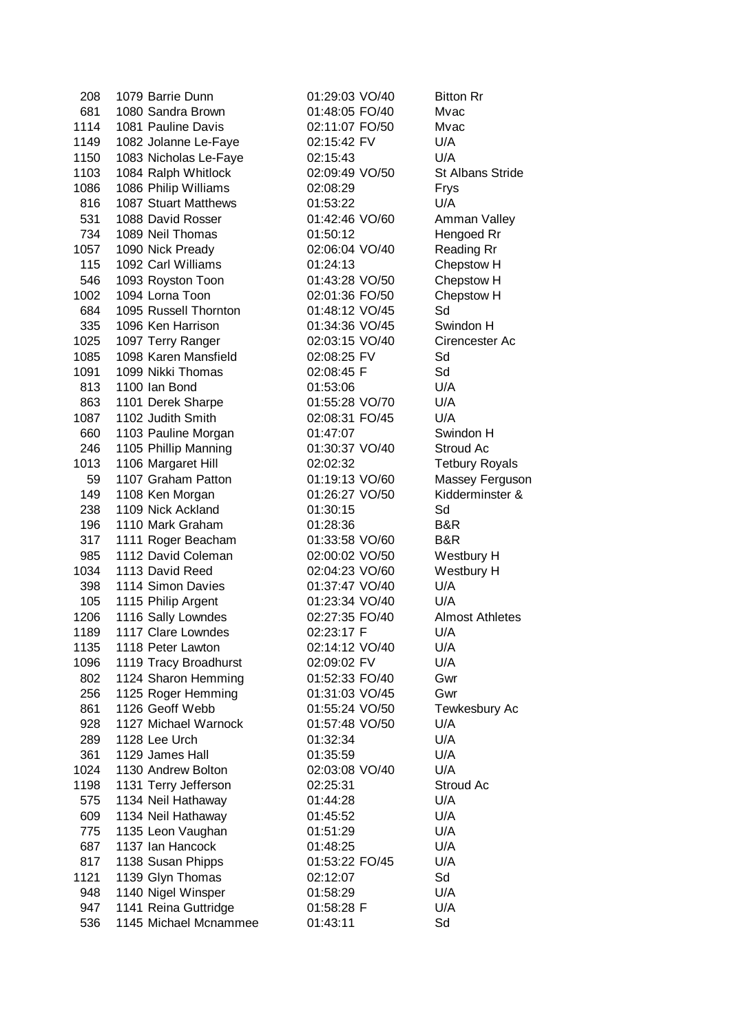| 208  | 1079 Barrie Dunn      | 01:29:03 VO/40 | <b>Bitton Rr</b>        |
|------|-----------------------|----------------|-------------------------|
| 681  | 1080 Sandra Brown     | 01:48:05 FO/40 | Mvac                    |
| 1114 | 1081 Pauline Davis    | 02:11:07 FO/50 | Mvac                    |
| 1149 | 1082 Jolanne Le-Faye  | 02:15:42 FV    | U/A                     |
| 1150 | 1083 Nicholas Le-Faye | 02:15:43       | U/A                     |
| 1103 | 1084 Ralph Whitlock   | 02:09:49 VO/50 | <b>St Albans Stride</b> |
| 1086 | 1086 Philip Williams  | 02:08:29       | Frys                    |
| 816  | 1087 Stuart Matthews  | 01:53:22       | U/A                     |
| 531  | 1088 David Rosser     |                |                         |
|      |                       | 01:42:46 VO/60 | Amman Valley            |
| 734  | 1089 Neil Thomas      | 01:50:12       | Hengoed Rr              |
| 1057 | 1090 Nick Pready      | 02:06:04 VO/40 | <b>Reading Rr</b>       |
| 115  | 1092 Carl Williams    | 01:24:13       | Chepstow H              |
| 546  | 1093 Royston Toon     | 01:43:28 VO/50 | Chepstow H              |
| 1002 | 1094 Lorna Toon       | 02:01:36 FO/50 | Chepstow H              |
| 684  | 1095 Russell Thornton | 01:48:12 VO/45 | Sd                      |
| 335  | 1096 Ken Harrison     | 01:34:36 VO/45 | Swindon H               |
| 1025 | 1097 Terry Ranger     | 02:03:15 VO/40 | Cirencester Ac          |
| 1085 | 1098 Karen Mansfield  | 02:08:25 FV    | Sd                      |
| 1091 | 1099 Nikki Thomas     | 02:08:45 F     | Sd                      |
| 813  | 1100 Ian Bond         | 01:53:06       | U/A                     |
| 863  | 1101 Derek Sharpe     | 01:55:28 VO/70 | U/A                     |
| 1087 | 1102 Judith Smith     | 02:08:31 FO/45 | U/A                     |
| 660  | 1103 Pauline Morgan   | 01:47:07       | Swindon H               |
| 246  | 1105 Phillip Manning  | 01:30:37 VO/40 | Stroud Ac               |
| 1013 | 1106 Margaret Hill    | 02:02:32       | <b>Tetbury Royals</b>   |
| 59   | 1107 Graham Patton    | 01:19:13 VO/60 | Massey Ferguson         |
| 149  | 1108 Ken Morgan       | 01:26:27 VO/50 | Kidderminster &         |
| 238  | 1109 Nick Ackland     | 01:30:15       | Sd                      |
| 196  | 1110 Mark Graham      | 01:28:36       | B&R                     |
| 317  | 1111 Roger Beacham    | 01:33:58 VO/60 | B&R                     |
| 985  | 1112 David Coleman    | 02:00:02 VO/50 | Westbury H              |
| 1034 | 1113 David Reed       | 02:04:23 VO/60 | Westbury H              |
| 398  | 1114 Simon Davies     | 01:37:47 VO/40 | U/A                     |
| 105  | 1115 Philip Argent    | 01:23:34 VO/40 | U/A                     |
| 1206 | 1116 Sally Lowndes    | 02:27:35 FO/40 | <b>Almost Athletes</b>  |
| 1189 | 1117 Clare Lowndes    | 02:23:17 F     | U/A                     |
|      |                       |                |                         |
| 1135 | 1118 Peter Lawton     | 02:14:12 VO/40 | U/A                     |
| 1096 | 1119 Tracy Broadhurst | 02:09:02 FV    | U/A                     |
| 802  | 1124 Sharon Hemming   | 01:52:33 FO/40 | Gwr                     |
| 256  | 1125 Roger Hemming    | 01:31:03 VO/45 | Gwr                     |
| 861  | 1126 Geoff Webb       | 01:55:24 VO/50 | Tewkesbury Ac           |
| 928  | 1127 Michael Warnock  | 01:57:48 VO/50 | U/A                     |
| 289  | 1128 Lee Urch         | 01:32:34       | U/A                     |
| 361  | 1129 James Hall       | 01:35:59       | U/A                     |
| 1024 | 1130 Andrew Bolton    | 02:03:08 VO/40 | U/A                     |
| 1198 | 1131 Terry Jefferson  | 02:25:31       | Stroud Ac               |
| 575  | 1134 Neil Hathaway    | 01:44:28       | U/A                     |
| 609  | 1134 Neil Hathaway    | 01:45:52       | U/A                     |
| 775  | 1135 Leon Vaughan     | 01:51:29       | U/A                     |
| 687  | 1137 Ian Hancock      | 01:48:25       | U/A                     |
| 817  | 1138 Susan Phipps     | 01:53:22 FO/45 | U/A                     |
| 1121 | 1139 Glyn Thomas      | 02:12:07       | Sd                      |
| 948  | 1140 Nigel Winsper    | 01:58:29       | U/A                     |
| 947  | 1141 Reina Guttridge  | 01:58:28 F     | U/A                     |
| 536  | 1145 Michael Mcnammee | 01:43:11       | Sd                      |
|      |                       |                |                         |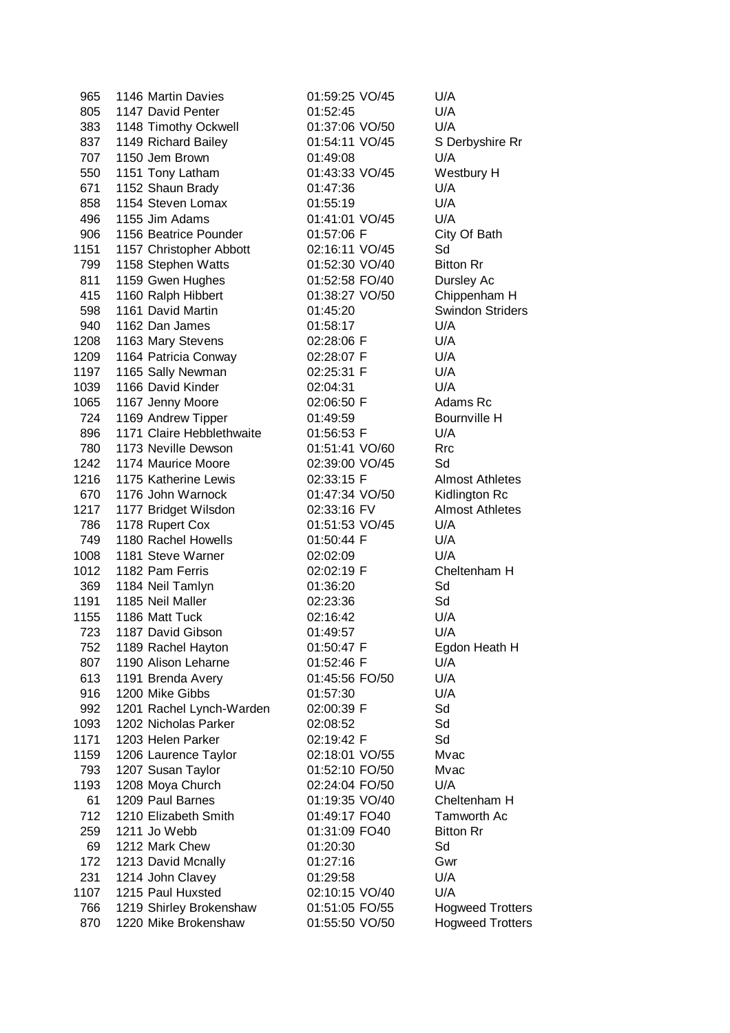| 965  | 1146 Martin Davies        | 01:59:25 VO/45 | U/A                     |
|------|---------------------------|----------------|-------------------------|
| 805  | 1147 David Penter         | 01:52:45       | U/A                     |
| 383  | 1148 Timothy Ockwell      | 01:37:06 VO/50 | U/A                     |
| 837  | 1149 Richard Bailey       | 01:54:11 VO/45 | S Derbyshire Rr         |
| 707  | 1150 Jem Brown            | 01:49:08       | U/A                     |
| 550  | 1151 Tony Latham          | 01:43:33 VO/45 | Westbury H              |
| 671  |                           | 01:47:36       | U/A                     |
|      | 1152 Shaun Brady          |                |                         |
| 858  | 1154 Steven Lomax         | 01:55:19       | U/A                     |
| 496  | 1155 Jim Adams            | 01:41:01 VO/45 | U/A                     |
| 906  | 1156 Beatrice Pounder     | 01:57:06 F     | City Of Bath            |
| 1151 | 1157 Christopher Abbott   | 02:16:11 VO/45 | Sd                      |
| 799  | 1158 Stephen Watts        | 01:52:30 VO/40 | <b>Bitton Rr</b>        |
| 811  | 1159 Gwen Hughes          | 01:52:58 FO/40 | Dursley Ac              |
| 415  | 1160 Ralph Hibbert        | 01:38:27 VO/50 | Chippenham H            |
| 598  | 1161 David Martin         | 01:45:20       | <b>Swindon Striders</b> |
| 940  | 1162 Dan James            | 01:58:17       | U/A                     |
| 1208 | 1163 Mary Stevens         | 02:28:06 F     | U/A                     |
| 1209 | 1164 Patricia Conway      | 02:28:07 F     | U/A                     |
| 1197 | 1165 Sally Newman         | 02:25:31 F     | U/A                     |
| 1039 | 1166 David Kinder         | 02:04:31       | U/A                     |
| 1065 | 1167 Jenny Moore          | 02:06:50 F     | Adams Rc                |
| 724  | 1169 Andrew Tipper        | 01:49:59       | Bournville H            |
| 896  | 1171 Claire Hebblethwaite | 01:56:53 F     | U/A                     |
| 780  | 1173 Neville Dewson       | 01:51:41 VO/60 | Rrc                     |
| 1242 | 1174 Maurice Moore        | 02:39:00 VO/45 | Sd                      |
| 1216 | 1175 Katherine Lewis      | 02:33:15 F     | <b>Almost Athletes</b>  |
| 670  | 1176 John Warnock         | 01:47:34 VO/50 | Kidlington Rc           |
| 1217 | 1177 Bridget Wilsdon      | 02:33:16 FV    | <b>Almost Athletes</b>  |
| 786  | 1178 Rupert Cox           | 01:51:53 VO/45 | U/A                     |
| 749  | 1180 Rachel Howells       | 01:50:44 F     | U/A                     |
| 1008 | 1181 Steve Warner         | 02:02:09       | U/A                     |
| 1012 | 1182 Pam Ferris           | 02:02:19 F     | Cheltenham H            |
| 369  | 1184 Neil Tamlyn          | 01:36:20       | Sd                      |
| 1191 | 1185 Neil Maller          | 02:23:36       | Sd                      |
| 1155 | 1186 Matt Tuck            | 02:16:42       | U/A                     |
| 723  | 1187 David Gibson         | 01:49:57       | U/A                     |
| 752  | 1189 Rachel Hayton        | 01:50:47 F     | Egdon Heath H           |
| 807  | 1190 Alison Leharne       | 01:52:46 F     | U/A                     |
| 613  | 1191 Brenda Avery         | 01:45:56 FO/50 | U/A                     |
| 916  | 1200 Mike Gibbs           | 01:57:30       | U/A                     |
| 992  | 1201 Rachel Lynch-Warden  | 02:00:39 F     | Sd                      |
| 1093 | 1202 Nicholas Parker      | 02:08:52       | Sd                      |
| 1171 | 1203 Helen Parker         | 02:19:42 F     | Sd                      |
| 1159 | 1206 Laurence Taylor      | 02:18:01 VO/55 | Mvac                    |
| 793  | 1207 Susan Taylor         | 01:52:10 FO/50 | Mvac                    |
| 1193 | 1208 Moya Church          | 02:24:04 FO/50 | U/A                     |
| 61   | 1209 Paul Barnes          | 01:19:35 VO/40 | Cheltenham H            |
|      |                           |                |                         |
| 712  | 1210 Elizabeth Smith      | 01:49:17 FO40  | Tamworth Ac             |
| 259  | 1211 Jo Webb              | 01:31:09 FO40  | <b>Bitton Rr</b>        |
| 69   | 1212 Mark Chew            | 01:20:30       | Sd                      |
| 172  | 1213 David Mcnally        | 01:27:16       | Gwr                     |
| 231  | 1214 John Clavey          | 01:29:58       | U/A                     |
| 1107 | 1215 Paul Huxsted         | 02:10:15 VO/40 | U/A                     |
| 766  | 1219 Shirley Brokenshaw   | 01:51:05 FO/55 | <b>Hogweed Trotters</b> |
| 870  | 1220 Mike Brokenshaw      | 01:55:50 VO/50 | <b>Hogweed Trotters</b> |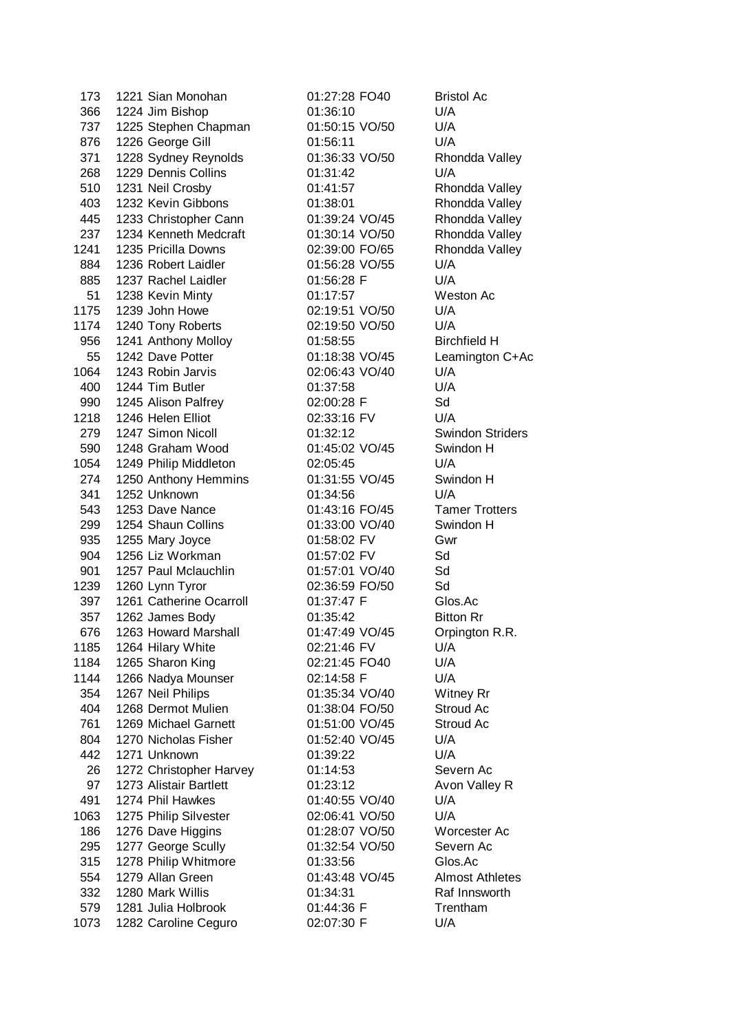| 173  | 1221 Sian Monohan       | 01:27:28 FO40  | <b>Bristol A</b>  |
|------|-------------------------|----------------|-------------------|
| 366  | 1224 Jim Bishop         | 01:36:10       | U/A               |
| 737  | 1225 Stephen Chapman    | 01:50:15 VO/50 | U/A               |
| 876  | 1226 George Gill        | 01:56:11       | U/A               |
| 371  | 1228 Sydney Reynolds    | 01:36:33 VO/50 | Rhondda           |
| 268  | 1229 Dennis Collins     | 01:31:42       | U/A               |
| 510  | 1231 Neil Crosby        | 01:41:57       | Rhondda           |
| 403  | 1232 Kevin Gibbons      | 01:38:01       | Rhondda           |
| 445  | 1233 Christopher Cann   | 01:39:24 VO/45 | Rhondda           |
| 237  | 1234 Kenneth Medcraft   | 01:30:14 VO/50 | Rhondda           |
| 1241 | 1235 Pricilla Downs     | 02:39:00 FO/65 | Rhondda           |
| 884  | 1236 Robert Laidler     | 01:56:28 VO/55 | U/A               |
| 885  | 1237 Rachel Laidler     | 01:56:28 F     | U/A               |
| 51   | 1238 Kevin Minty        | 01:17:57       | Weston /          |
| 1175 | 1239 John Howe          | 02:19:51 VO/50 | U/A               |
| 1174 | 1240 Tony Roberts       | 02:19:50 VO/50 | U/A               |
| 956  | 1241 Anthony Molloy     | 01:58:55       | <b>Birchfield</b> |
| 55   | 1242 Dave Potter        | 01:18:38 VO/45 | Leaming           |
| 1064 | 1243 Robin Jarvis       | 02:06:43 VO/40 | U/A               |
| 400  | 1244 Tim Butler         | 01:37:58       | U/A               |
| 990  | 1245 Alison Palfrey     | 02:00:28 F     | Sd                |
| 1218 | 1246 Helen Elliot       | 02:33:16 FV    | U/A               |
| 279  | 1247 Simon Nicoll       | 01:32:12       | Swindon           |
| 590  | 1248 Graham Wood        | 01:45:02 VO/45 | Swindon           |
| 1054 | 1249 Philip Middleton   | 02:05:45       | U/A               |
| 274  | 1250 Anthony Hemmins    | 01:31:55 VO/45 | Swindon           |
| 341  | 1252 Unknown            | 01:34:56       | U/A               |
| 543  | 1253 Dave Nance         | 01:43:16 FO/45 | Tamer T           |
| 299  | 1254 Shaun Collins      | 01:33:00 VO/40 | Swindon           |
| 935  | 1255 Mary Joyce         | 01:58:02 FV    | Gwr               |
| 904  | 1256 Liz Workman        | 01:57:02 FV    | Sd                |
| 901  | 1257 Paul Mclauchlin    | 01:57:01 VO/40 | Sd                |
| 1239 | 1260 Lynn Tyror         | 02:36:59 FO/50 | Sd                |
| 397  | 1261 Catherine Ocarroll | 01:37:47 F     | Glos.Ac           |
| 357  | 1262 James Body         | 01:35:42       | <b>Bitton Rr</b>  |
| 676  | 1263 Howard Marshall    | 01:47:49 VO/45 | Orpingto          |
| 1185 | 1264 Hilary White       | 02:21:46 FV    | U/A               |
| 1184 | 1265 Sharon King        | 02:21:45 FO40  | U/A               |
| 1144 | 1266 Nadya Mounser      | 02:14:58 F     | U/A               |
| 354  | 1267 Neil Philips       | 01:35:34 VO/40 | Witney F          |
| 404  | 1268 Dermot Mulien      | 01:38:04 FO/50 | <b>Stroud A</b>   |
| 761  | 1269 Michael Garnett    | 01:51:00 VO/45 | Stroud A          |
| 804  | 1270 Nicholas Fisher    | 01:52:40 VO/45 | U/A               |
| 442  | 1271 Unknown            | 01:39:22       | U/A               |
| 26   | 1272 Christopher Harvey | 01:14:53       | Severn A          |
| 97   | 1273 Alistair Bartlett  | 01:23:12       | Avon Va           |
| 491  | 1274 Phil Hawkes        | 01:40:55 VO/40 | U/A               |
| 1063 | 1275 Philip Silvester   | 02:06:41 VO/50 | U/A               |
| 186  | 1276 Dave Higgins       | 01:28:07 VO/50 | Worceste          |
| 295  | 1277 George Scully      | 01:32:54 VO/50 | Severn A          |
| 315  | 1278 Philip Whitmore    | 01:33:56       | Glos.Ac           |
| 554  | 1279 Allan Green        | 01:43:48 VO/45 | Almost A          |
| 332  | 1280 Mark Willis        | 01:34:31       | Raf Innsy         |
| 579  | 1281 Julia Holbrook     | 01:44:36 F     | Trenthan          |
| 1073 | 1282 Caroline Ceguro    | 02:07:30 F     | U/A               |
|      |                         |                |                   |

01:27:28 FO40 Bristol Ac 01:36:10 U/A 01:50:15 VO/50 U/A 01:56:11 U/A 01:36:33 VO/50 Rhondda Valley 01:31:42 U/A 01:41:57 Rhondda Valley 01:38:01 Rhondda Valley 01:39:24 VO/45 Rhondda Valley 01:30:14 VO/50 Rhondda Valley 02:39:00 FO/65 Rhondda Valley 01:56:28 VO/55 U/A 01:56:28 F U/A 01:17:57 Weston Ac 02:19:51 VO/50 U/A 02:19:50 VO/50 U/A 01:58:55 Birchfield H 02:06:43 VO/40 U/A 01:37:58 U/A 02:00:28 F Sd 02:33:16 FV U/A 01:32:12 Swindon Striders 01:45:02 VO/45 Swindon H 02:05:45 U/A 01:31:55 VO/45 Swindon H 01:34:56 U/A 01:43:16 FO/45 Tamer Trotters 01:33:00 VO/40 Swindon H 01:58:02 FV Gwr 01:57:02 FV Sd 01:57:01 VO/40 Sd 02:36:59 FO/50 Sd 01:37:47 F Glos.Ac 01:47:49 VO/45 Orpington R.R. 02:21:46 FV U/A 02:21:45 FO40 U/A 02:14:58 F U/A 01:35:34 VO/40 Witney Rr 01:38:04 FO/50 Stroud Ac 01:51:00 VO/45 Stroud Ac 01:52:40 VO/45 U/A 01:39:22 U/A 01:14:53 Severn Ac 01:23:12 Avon Valley R 01:40:55 VO/40 U/A 02:06:41 VO/50 U/A 01:28:07 VO/50 Worcester Ac 01:32:54 VO/50 Severn Ac 01:33:56 Glos.Ac 01:43:48 VO/45 Almost Athletes 01:34:31 Raf Innsworth 01:44:36 F Trentham 02:07:30 F U/A

01:18:38 VO/45 Leamington C+Ac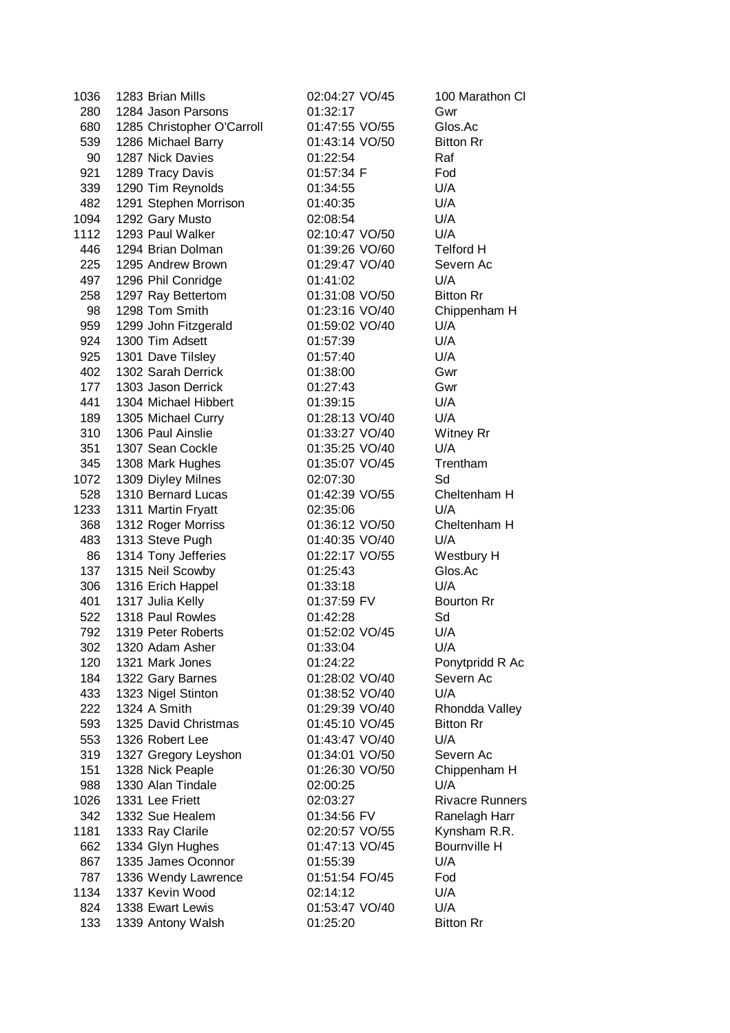| 1036 | 1283 Brian Mills                        | 02:04:27 VO/45 | 100 Marathon Cl        |
|------|-----------------------------------------|----------------|------------------------|
| 280  | 1284 Jason Parsons                      | 01:32:17       | Gwr                    |
| 680  | 1285 Christopher O'Carroll              | 01:47:55 VO/55 | Glos.Ac                |
| 539  | 1286 Michael Barry                      | 01:43:14 VO/50 | <b>Bitton Rr</b>       |
| 90   | 1287 Nick Davies                        | 01:22:54       | Raf                    |
| 921  | 1289 Tracy Davis                        | 01:57:34 F     | Fod                    |
| 339  | 1290 Tim Reynolds                       | 01:34:55       | U/A                    |
| 482  | 1291 Stephen Morrison                   | 01:40:35       | U/A                    |
| 1094 | 1292 Gary Musto                         | 02:08:54       | U/A                    |
| 1112 | 1293 Paul Walker                        | 02:10:47 VO/50 | U/A                    |
| 446  | 1294 Brian Dolman                       | 01:39:26 VO/60 | <b>Telford H</b>       |
| 225  | 1295 Andrew Brown                       | 01:29:47 VO/40 | Severn Ac              |
| 497  | 1296 Phil Conridge                      | 01:41:02       | U/A                    |
| 258  | 1297 Ray Bettertom                      | 01:31:08 VO/50 | <b>Bitton Rr</b>       |
| 98   | 1298 Tom Smith                          | 01:23:16 VO/40 | Chippenham H           |
| 959  | 1299 John Fitzgerald                    | 01:59:02 VO/40 | U/A                    |
| 924  | 1300 Tim Adsett                         | 01:57:39       | U/A                    |
|      |                                         |                | U/A                    |
| 925  | 1301 Dave Tilsley<br>1302 Sarah Derrick | 01:57:40       |                        |
| 402  | 1303 Jason Derrick                      | 01:38:00       | Gwr                    |
| 177  |                                         | 01:27:43       | Gwr                    |
| 441  | 1304 Michael Hibbert                    | 01:39:15       | U/A                    |
| 189  | 1305 Michael Curry                      | 01:28:13 VO/40 | U/A                    |
| 310  | 1306 Paul Ainslie                       | 01:33:27 VO/40 | Witney Rr              |
| 351  | 1307 Sean Cockle                        | 01:35:25 VO/40 | U/A                    |
| 345  | 1308 Mark Hughes                        | 01:35:07 VO/45 | Trentham               |
| 1072 | 1309 Diyley Milnes                      | 02:07:30       | Sd                     |
| 528  | 1310 Bernard Lucas                      | 01:42:39 VO/55 | Cheltenham H           |
| 1233 | 1311 Martin Fryatt                      | 02:35:06       | U/A                    |
| 368  | 1312 Roger Morriss                      | 01:36:12 VO/50 | Cheltenham H           |
| 483  | 1313 Steve Pugh                         | 01:40:35 VO/40 | U/A                    |
| 86   | 1314 Tony Jefferies                     | 01:22:17 VO/55 | Westbury H             |
| 137  | 1315 Neil Scowby                        | 01:25:43       | Glos.Ac                |
| 306  | 1316 Erich Happel                       | 01:33:18       | U/A                    |
| 401  | 1317 Julia Kelly                        | 01:37:59 FV    | <b>Bourton Rr</b>      |
| 522  | 1318 Paul Rowles                        | 01:42:28       | Sd                     |
| 792  | 1319 Peter Roberts                      | 01:52:02 VO/45 | U/A                    |
| 302  | 1320 Adam Asher                         | 01:33:04       | U/A                    |
| 120  | 1321 Mark Jones                         | 01:24:22       | Ponytpridd R Ac        |
| 184  | 1322 Gary Barnes                        | 01:28:02 VO/40 | Severn Ac              |
| 433  | 1323 Nigel Stinton                      | 01:38:52 VO/40 | U/A                    |
| 222  | 1324 A Smith                            | 01:29:39 VO/40 | Rhondda Valley         |
| 593  | 1325 David Christmas                    | 01:45:10 VO/45 | <b>Bitton Rr</b>       |
| 553  | 1326 Robert Lee                         | 01:43:47 VO/40 | U/A                    |
| 319  | 1327 Gregory Leyshon                    | 01:34:01 VO/50 | Severn Ac              |
| 151  | 1328 Nick Peaple                        | 01:26:30 VO/50 | Chippenham H           |
| 988  | 1330 Alan Tindale                       | 02:00:25       | U/A                    |
| 1026 | 1331 Lee Friett                         | 02:03:27       | <b>Rivacre Runners</b> |
| 342  | 1332 Sue Healem                         | 01:34:56 FV    | Ranelagh Harr          |
| 1181 | 1333 Ray Clarile                        | 02:20:57 VO/55 | Kynsham R.R.           |
| 662  | 1334 Glyn Hughes                        | 01:47:13 VO/45 | Bournville H           |
| 867  | 1335 James Oconnor                      | 01:55:39       | U/A                    |
| 787  | 1336 Wendy Lawrence                     | 01:51:54 FO/45 | Fod                    |
| 1134 | 1337 Kevin Wood                         | 02:14:12       | U/A                    |
| 824  | 1338 Ewart Lewis                        | 01:53:47 VO/40 | U/A                    |
| 133  | 1339 Antony Walsh                       | 01:25:20       | <b>Bitton Rr</b>       |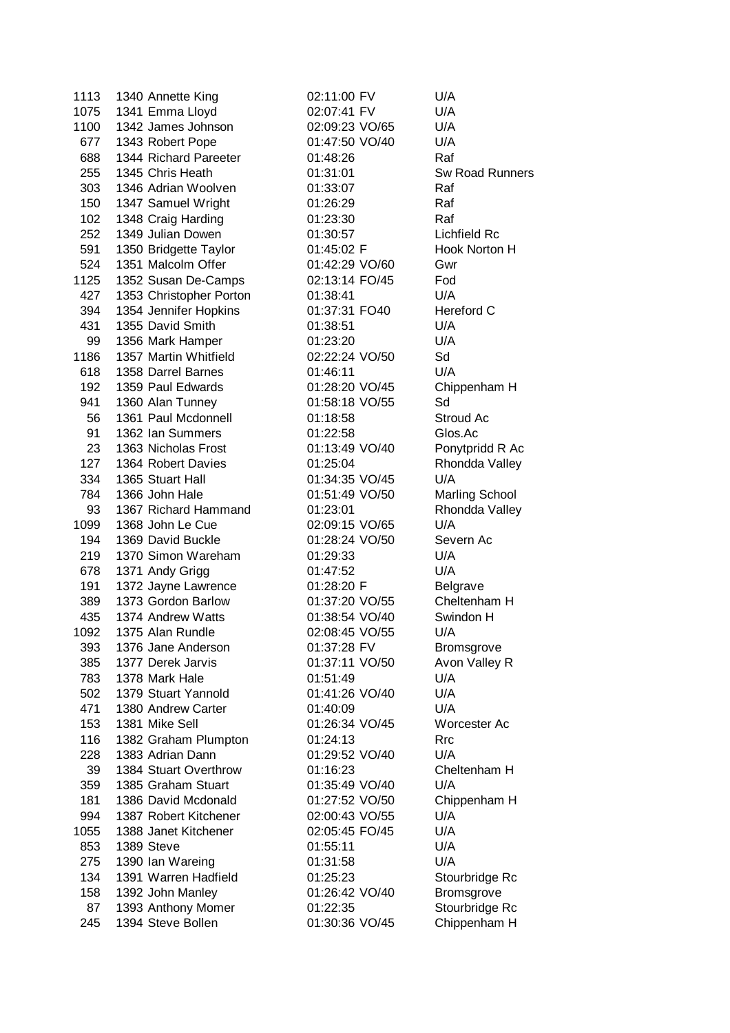| 1113 | 1340 Annette King       |
|------|-------------------------|
| 1075 | 1341 Emma Lloyd         |
| 1100 | 1342 James Johnson      |
| 677  | 1343 Robert Pope        |
| 688  | 1344 Richard Pareeter   |
| 255  | 1345 Chris Heath        |
| 303  | 1346 Adrian Woolven     |
| 150  | 1347 Samuel Wright      |
| 102  | 1348 Craig Harding      |
| 252  | 1349 Julian Dowen       |
| 591  | 1350 Bridgette Taylor   |
| 524  | 1351 Malcolm Offer      |
| 1125 | 1352 Susan De-Camps     |
| 427  | 1353 Christopher Porton |
| 394  | 1354 Jennifer Hopkins   |
| 431  | 1355 David Smith        |
| 99   | 1356 Mark Hamper        |
| 1186 | 1357 Martin Whitfield   |
| 618  | 1358 Darrel Barnes      |
| 192  | 1359 Paul Edwards       |
| 941  | 1360 Alan Tunney        |
| 56   | 1361 Paul Mcdonnell     |
| 91   | 1362 Ian Summers        |
| 23   | 1363 Nicholas Frost     |
| 127  | 1364 Robert Davies      |
| 334  | 1365 Stuart Hall        |
| 784  | 1366 John Hale          |
| 93   | 1367 Richard Hammand    |
| 1099 | 1368 John Le Cue        |
| 194  | 1369 David Buckle       |
| 219  | 1370 Simon Wareham      |
| 678  | 1371 Andy Grigg         |
| 191  | 1372 Jayne Lawrence     |
| 389  | 1373 Gordon Barlow      |
| 435  | 1374 Andrew Watts       |
| 1092 | 1375 Alan Rundle        |
| 393  | 1376 Jane Anderson      |
| 385  | 1377 Derek Jarvis       |
| 783  | 1378 Mark Hale          |
| 502  | 1379 Stuart Yannold     |
| 471  | 1380 Andrew Carter      |
| 153  | 1381 Mike Sell          |
| 116  | 1382 Graham Plumpton    |
| 228  | 1383 Adrian Dann        |
| 39   | 1384 Stuart Overthrow   |
| 359  | 1385 Graham Stuart      |
| 181  | 1386 David Mcdonald     |
| 994  | 1387 Robert Kitchener   |
| 1055 | 1388 Janet Kitchener    |
| 853  | 1389 Steve              |
| 275  | 1390 Ian Wareing        |
| 134  | 1391 Warren Hadfield    |
| 158  | 1392 John Manley        |
| 87   | 1393 Anthony Momer      |
| 245  | 1394 Steve Bollen       |
|      |                         |

02:11:00 FV U/A 02:07:41 FV U/A 02:09:23 VO/65 U/A 01:47:50 VO/40 U/A 688 1344 Richard Pareeter 01:48:26 Raf 01:33:07 Raf 01:26:29 Raf 01:23:30 Raf 01:30:57 Lichfield Rc 01:45:02 F Hook Norton H 01:42:29 VO/60 Gwr 02:13:14 FO/45 Fod 01:38:41 U/A 01:37:31 FO40 Hereford C 01:38:51 U/A 01:23:20 U/A 02:22:24 VO/50 Sd 01:46:11 U/A 01:28:20 VO/45 Chippenham H 01:58:18 VO/55 Sd 01:18:58 Stroud Ac 01:22:58 Glos.Ac 01:13:49 VO/40 Ponytpridd R Ac 01:25:04 Rhondda Valley 01:34:35 VO/45 U/A 01:51:49 VO/50 Marling School 01:23:01 Rhondda Valley 02:09:15 VO/65 U/A 01:28:24 VO/50 Severn Ac 01:29:33 U/A 01:47:52 U/A 01:28:20 F Belgrave 01:37:20 VO/55 Cheltenham H 01:38:54 VO/40 Swindon H 02:08:45 VO/55 U/A 01:37:28 FV Bromsgrove 01:37:11 VO/50 Avon Valley R 01:51:49 U/A 01:41:26 VO/40 U/A 01:40:09 U/A 01:26:34 VO/45 Worcester Ac 01:24:13 Rrc 01:29:52 VO/40 U/A 01:16:23 Cheltenham H 01:35:49 VO/40 U/A 01:27:52 VO/50 Chippenham H 02:00:43 VO/55 U/A 02:05:45 FO/45 U/A 01:55:11 U/A 01:31:58 U/A 01:25:23 Stourbridge Rc 01:26:42 VO/40 Bromsgrove 01:22:35 Stourbridge Rc 01:30:36 VO/45 Chippenham H

01:31:01 Sw Road Runners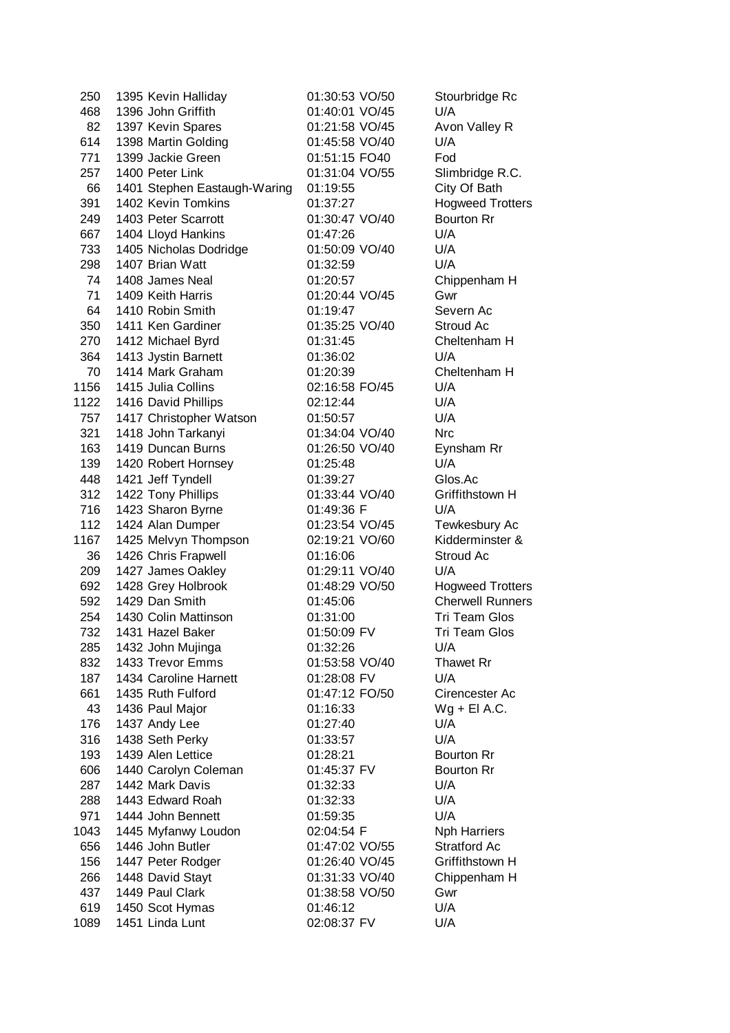| 250  | 1395 Kevin Halliday          | 01:30:53 VO/50 | Stourbridge Rc          |
|------|------------------------------|----------------|-------------------------|
| 468  | 1396 John Griffith           | 01:40:01 VO/45 | U/A                     |
| 82   | 1397 Kevin Spares            | 01:21:58 VO/45 | Avon Valley R           |
| 614  | 1398 Martin Golding          | 01:45:58 VO/40 | U/A                     |
| 771  | 1399 Jackie Green            | 01:51:15 FO40  | Fod                     |
| 257  | 1400 Peter Link              | 01:31:04 VO/55 | Slimbridge R.C.         |
| 66   | 1401 Stephen Eastaugh-Waring | 01:19:55       | City Of Bath            |
| 391  | 1402 Kevin Tomkins           | 01:37:27       | <b>Hogweed Trotters</b> |
| 249  | 1403 Peter Scarrott          | 01:30:47 VO/40 | <b>Bourton Rr</b>       |
| 667  | 1404 Lloyd Hankins           | 01:47:26       | U/A                     |
| 733  | 1405 Nicholas Dodridge       | 01:50:09 VO/40 | U/A                     |
| 298  | 1407 Brian Watt              | 01:32:59       | U/A                     |
| 74   | 1408 James Neal              | 01:20:57       | Chippenham H            |
| 71   | 1409 Keith Harris            | 01:20:44 VO/45 | Gwr                     |
| 64   | 1410 Robin Smith             | 01:19:47       | Severn Ac               |
| 350  | 1411 Ken Gardiner            | 01:35:25 VO/40 | Stroud Ac               |
| 270  | 1412 Michael Byrd            | 01:31:45       | Cheltenham H            |
| 364  | 1413 Jystin Barnett          | 01:36:02       | U/A                     |
| 70   | 1414 Mark Graham             | 01:20:39       | Cheltenham H            |
| 1156 | 1415 Julia Collins           | 02:16:58 FO/45 | U/A                     |
| 1122 | 1416 David Phillips          | 02:12:44       | U/A                     |
| 757  | 1417 Christopher Watson      | 01:50:57       | U/A                     |
| 321  | 1418 John Tarkanyi           | 01:34:04 VO/40 | <b>Nrc</b>              |
| 163  | 1419 Duncan Burns            | 01:26:50 VO/40 | Eynsham Rr              |
| 139  | 1420 Robert Hornsey          | 01:25:48       | U/A                     |
| 448  | 1421 Jeff Tyndell            | 01:39:27       | Glos.Ac                 |
| 312  | 1422 Tony Phillips           | 01:33:44 VO/40 | Griffithstown H         |
| 716  | 1423 Sharon Byrne            | 01:49:36 F     | U/A                     |
| 112  | 1424 Alan Dumper             | 01:23:54 VO/45 | Tewkesbury Ac           |
| 1167 | 1425 Melvyn Thompson         | 02:19:21 VO/60 | Kidderminster &         |
| 36   | 1426 Chris Frapwell          | 01:16:06       | Stroud Ac               |
| 209  | 1427 James Oakley            | 01:29:11 VO/40 | U/A                     |
| 692  | 1428 Grey Holbrook           | 01:48:29 VO/50 | <b>Hogweed Trotters</b> |
| 592  | 1429 Dan Smith               | 01:45:06       | <b>Cherwell Runners</b> |
| 254  | 1430 Colin Mattinson         | 01:31:00       | <b>Tri Team Glos</b>    |
| 732  | 1431 Hazel Baker             | 01:50:09 FV    | Tri Team Glos           |
| 285  | 1432 John Mujinga            | 01:32:26       | U/A                     |
| 832  | 1433 Trevor Emms             | 01:53:58 VO/40 | <b>Thawet Rr</b>        |
| 187  | 1434 Caroline Harnett        | 01:28:08 FV    | U/A                     |
| 661  | 1435 Ruth Fulford            | 01:47:12 FO/50 | Cirencester Ac          |
| 43   | 1436 Paul Major              | 01:16:33       | $Wg + EI A.C.$          |
| 176  | 1437 Andy Lee                | 01:27:40       | U/A                     |
| 316  | 1438 Seth Perky              | 01:33:57       | U/A                     |
| 193  | 1439 Alen Lettice            | 01:28:21       | <b>Bourton Rr</b>       |
| 606  | 1440 Carolyn Coleman         | 01:45:37 FV    | <b>Bourton Rr</b>       |
| 287  | 1442 Mark Davis              | 01:32:33       | U/A                     |
| 288  | 1443 Edward Roah             | 01:32:33       | U/A                     |
| 971  | 1444 John Bennett            | 01:59:35       | U/A                     |
| 1043 | 1445 Myfanwy Loudon          | 02:04:54 F     | <b>Nph Harriers</b>     |
| 656  | 1446 John Butler             | 01:47:02 VO/55 | <b>Stratford Ac</b>     |
| 156  | 1447 Peter Rodger            | 01:26:40 VO/45 | Griffithstown H         |
| 266  | 1448 David Stayt             | 01:31:33 VO/40 | Chippenham H            |
| 437  | 1449 Paul Clark              | 01:38:58 VO/50 | Gwr                     |
| 619  | 1450 Scot Hymas              | 01:46:12       | U/A                     |
|      |                              |                | U/A                     |
| 1089 | 1451 Linda Lunt              | 02:08:37 FV    |                         |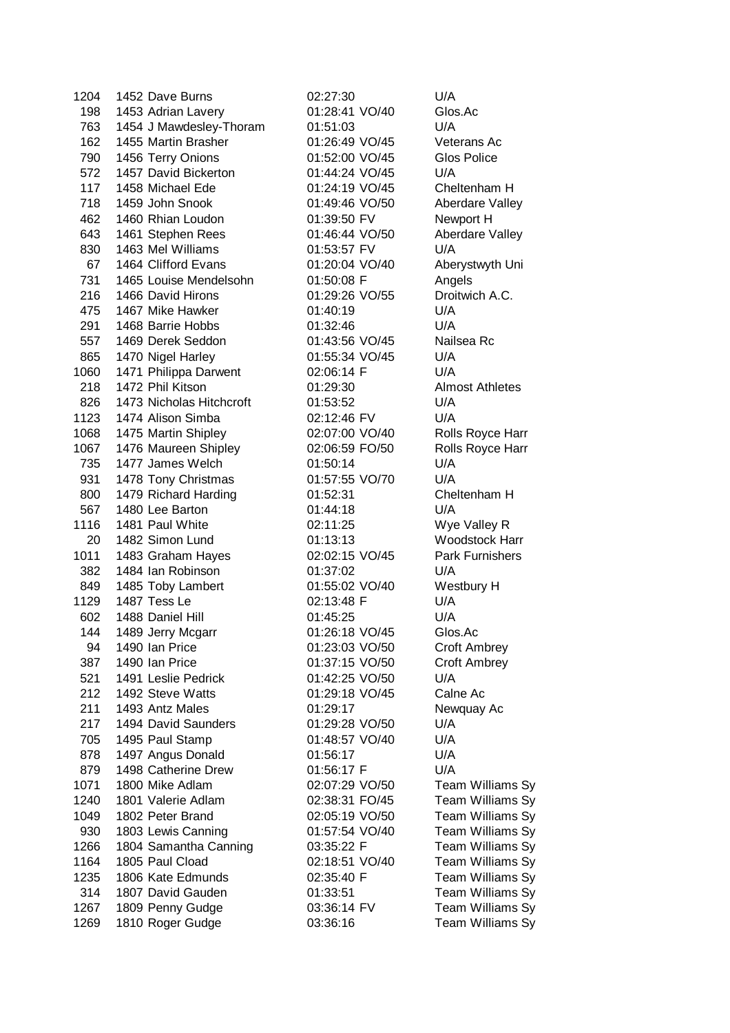| 1204 | 1452 Dave Burns                          |
|------|------------------------------------------|
| 198  | 1453 Adrian Lavery                       |
| 763  | 1454 J Mawdesley-Thoram                  |
| 162  | 1455 Martin Brasher                      |
| 790  | 1456 Terry Onions                        |
| 572  | 1457 David Bickerton                     |
| 117  | 1458 Michael Ede                         |
| 718  | 1459 John Snook                          |
| 462  | 1460 Rhian Loudon                        |
| 643  | 1461 Stephen Rees                        |
| 830  | 1463 Mel Williams                        |
|      | 67 1464 Clifford Evans                   |
| 731  | 1465 Louise Mendelsohn                   |
| 216  | 1466 David Hirons                        |
| 475  | 1467 Mike Hawker                         |
| 291  | 1468 Barrie Hobbs                        |
| 557  | 1469 Derek Seddon                        |
|      | 865 1470 Nigel Harley                    |
| 1060 | 1471 Philippa Darwent                    |
| 218  | 1472 Phil Kitson                         |
|      | 826 1473 Nicholas Hitchcroft             |
|      | 1123 1474 Alison Simba                   |
|      | 1068 1475 Martin Shipley                 |
|      | 1067 1476 Maureen Shipley                |
|      | 735 1477 James Welch                     |
| 931  | 1478 Tony Christmas                      |
| 800  | 1479 Richard Harding                     |
| 567  | 1480 Lee Barton                          |
| 1116 | 1481 Paul White                          |
| 20   | 1482 Simon Lund                          |
|      | 1011 1483 Graham Hayes                   |
| 382  | 1484 Ian Robinson                        |
| 849  | 1485 Toby Lambert                        |
| 1129 | 1487 Tess Le                             |
|      | 602 1488 Daniel Hill                     |
| 144  | 1489 Jerry Mcgarr                        |
| 94   | 1490 Ian Price                           |
| 387  | 1490 Ian Price                           |
| 521  | 1491 Leslie Pedrick                      |
| 212  | 1492 Steve Watts                         |
| 211  | 1493 Antz Males                          |
| 217  | 1494 David Saunders                      |
| 705  | 1495 Paul Stamp                          |
| 878  | 1497 Angus Donald                        |
| 879  | 1498 Catherine Drew                      |
| 1071 | 1800 Mike Adlam                          |
|      | 1801 Valerie Adlam                       |
| 1240 |                                          |
| 1049 | 1802 Peter Brand                         |
| 930  | 1803 Lewis Canning                       |
| 1266 | 1804 Samantha Canning<br>1805 Paul Cload |
| 1164 |                                          |
| 1235 | 1806 Kate Edmunds                        |
| 314  | 1807 David Gauden                        |
| 1267 | 1809 Penny Gudge                         |
| 1269 | 1810 Roger Gudge                         |

02:27:30 U/A 01:28:41 VO/40 Glos.Ac 01:51:03 U/A 01:26:49 VO/45 Veterans Ac 01:52:00 VO/45 Glos Police 01:44:24 VO/45 U/A 01:24:19 VO/45 Cheltenham H 01:49:46 VO/50 Aberdare Valley 01:39:50 FV Newport H 01:46:44 VO/50 Aberdare Valley 01:53:57 FV U/A 01:20:04 VO/40 Aberystwyth Uni 01:50:08 F Angels 01:29:26 VO/55 Droitwich A.C. 01:40:19 U/A 01:32:46 U/A 01:43:56 VO/45 Nailsea Rc 01:55:34 VO/45 U/A 02:06:14 F U/A 01:29:30 Almost Athletes 01:53:52 U/A 02:12:46 FV U/A 02:07:00 VO/40 Rolls Royce Harr 02:06:59 FO/50 Rolls Royce Harr 01:50:14 U/A 01:57:55 VO/70 U/A 01:52:31 Cheltenham H 01:44:18 U/A 02:11:25 Wye Valley R 01:13:13 Woodstock Harr 02:02:15 VO/45 Park Furnishers 01:37:02 U/A 01:55:02 VO/40 Westbury H 02:13:48 F U/A 602 1488 Daniel Hill 01:45:25 U/A 01:26:18 VO/45 Glos.Ac 01:23:03 VO/50 Croft Ambrey 01:37:15 VO/50 Croft Ambrey 01:42:25 VO/50 U/A 01:29:18 VO/45 Calne Ac 01:29:17 Newquay Ac 01:29:28 VO/50 U/A 01:48:57 VO/40 U/A 01:56:17 U/A 01:56:17 F U/A

02:07:29 VO/50 Team Williams Sy 02:38:31 FO/45 Team Williams Sy 02:05:19 VO/50 Team Williams Sy<br>01:57:54 VO/40 Team Williams Sv Team Williams Sy 03:35:22 F Team Williams Sy 02:18:51 VO/40 Team Williams Sy 02:35:40 F Team Williams Sy 01:33:51 Team Williams Sy 03:36:14 FV Team Williams Sy 03:36:16 Team Williams Sy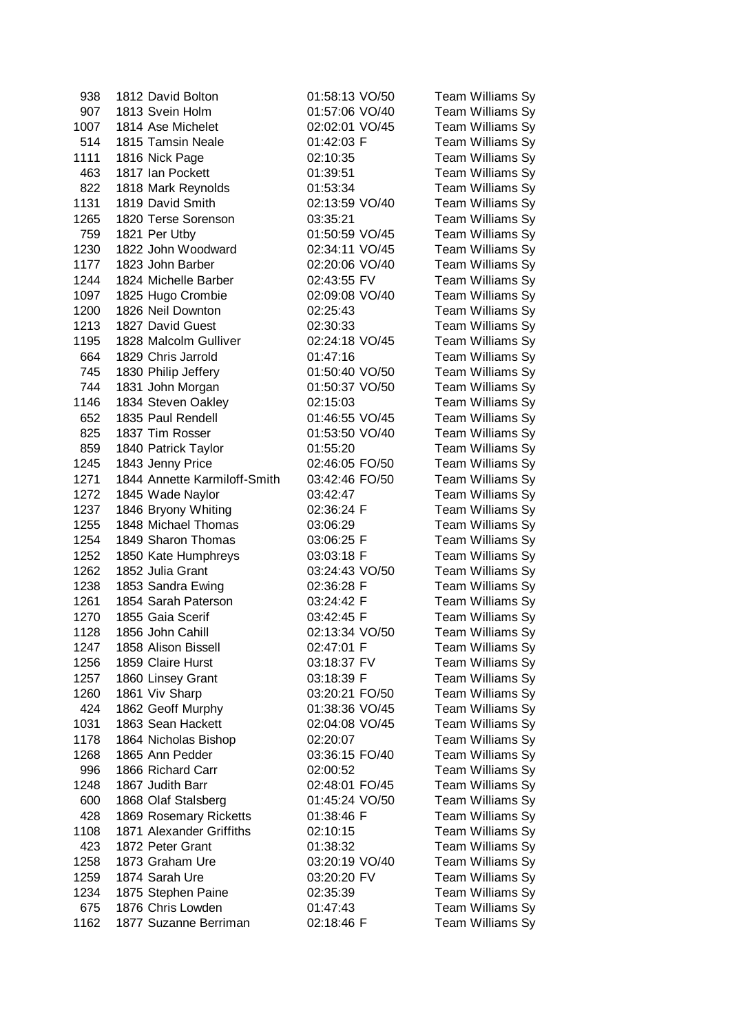| 938          | 1812 David Bolton                          | 01:58:13 VO/50 | Team Williams Sy |
|--------------|--------------------------------------------|----------------|------------------|
| 907          | 1813 Svein Holm                            | 01:57:06 VO/40 | Team Williams Sy |
| 1007         | 1814 Ase Michelet                          | 02:02:01 VO/45 | Team Williams Sy |
| 514          | 1815 Tamsin Neale                          | 01:42:03 F     | Team Williams Sy |
| 1111         | 1816 Nick Page                             | 02:10:35       | Team Williams Sy |
| 463          | 1817 Ian Pockett                           | 01:39:51       | Team Williams Sy |
| 822          | 1818 Mark Reynolds                         | 01:53:34       | Team Williams Sy |
| 1131         | 1819 David Smith                           | 02:13:59 VO/40 | Team Williams Sy |
| 1265         | 1820 Terse Sorenson                        | 03:35:21       | Team Williams Sy |
| 759          | 1821 Per Utby                              | 01:50:59 VO/45 | Team Williams Sy |
| 1230         | 1822 John Woodward                         | 02:34:11 VO/45 | Team Williams Sy |
| 1177         | 1823 John Barber                           | 02:20:06 VO/40 | Team Williams Sy |
| 1244         | 1824 Michelle Barber                       | 02:43:55 FV    | Team Williams Sy |
| 1097         | 1825 Hugo Crombie                          | 02:09:08 VO/40 | Team Williams Sy |
| 1200         | 1826 Neil Downton                          | 02:25:43       | Team Williams Sy |
| 1213         | 1827 David Guest                           | 02:30:33       | Team Williams Sy |
| 1195         | 1828 Malcolm Gulliver                      | 02:24:18 VO/45 | Team Williams Sy |
| 664          | 1829 Chris Jarrold                         | 01:47:16       | Team Williams Sy |
| 745          | 1830 Philip Jeffery                        | 01:50:40 VO/50 | Team Williams Sy |
| 744          | 1831 John Morgan                           | 01:50:37 VO/50 | Team Williams Sy |
| 1146         | 1834 Steven Oakley                         | 02:15:03       | Team Williams Sy |
| 652          | 1835 Paul Rendell                          | 01:46:55 VO/45 | Team Williams Sy |
| 825          | 1837 Tim Rosser                            | 01:53:50 VO/40 | Team Williams Sy |
| 859          | 1840 Patrick Taylor                        | 01:55:20       | Team Williams Sy |
| 1245         | 1843 Jenny Price                           | 02:46:05 FO/50 | Team Williams Sy |
| 1271         | 1844 Annette Karmiloff-Smith               | 03:42:46 FO/50 | Team Williams Sy |
| 1272         | 1845 Wade Naylor                           | 03:42:47       | Team Williams Sy |
|              |                                            |                | Team Williams Sy |
| 1237<br>1255 | 1846 Bryony Whiting<br>1848 Michael Thomas | 02:36:24 F     |                  |
| 1254         |                                            | 03:06:29       | Team Williams Sy |
|              | 1849 Sharon Thomas                         | 03:06:25 F     | Team Williams Sy |
| 1252         | 1850 Kate Humphreys                        | 03:03:18 F     | Team Williams Sy |
| 1262         | 1852 Julia Grant                           | 03:24:43 VO/50 | Team Williams Sy |
| 1238         | 1853 Sandra Ewing                          | 02:36:28 F     | Team Williams Sy |
| 1261         | 1854 Sarah Paterson                        | 03:24:42 F     | Team Williams Sy |
| 1270         | 1855 Gaia Scerif                           | 03:42:45 F     | Team Williams Sy |
| 1128         | 1856 John Cahill                           | 02:13:34 VO/50 | Team Williams Sy |
| 1247         | 1858 Alison Bissell                        | 02:47:01 F     | Team Williams Sy |
| 1256         | 1859 Claire Hurst                          | 03:18:37 FV    | Team Williams Sy |
| 1257         | 1860 Linsey Grant                          | 03:18:39 F     | Team Williams Sy |
| 1260         | 1861 Viv Sharp                             | 03:20:21 FO/50 | Team Williams Sy |
| 424          | 1862 Geoff Murphy                          | 01:38:36 VO/45 | Team Williams Sy |
| 1031         | 1863 Sean Hackett                          | 02:04:08 VO/45 | Team Williams Sy |
| 1178         | 1864 Nicholas Bishop                       | 02:20:07       | Team Williams Sy |
| 1268         | 1865 Ann Pedder                            | 03:36:15 FO/40 | Team Williams Sy |
| 996          | 1866 Richard Carr                          | 02:00:52       | Team Williams Sy |
| 1248         | 1867 Judith Barr                           | 02:48:01 FO/45 | Team Williams Sy |
| 600          | 1868 Olaf Stalsberg                        | 01:45:24 VO/50 | Team Williams Sy |
| 428          | 1869 Rosemary Ricketts                     | 01:38:46 F     | Team Williams Sy |
| 1108         | 1871 Alexander Griffiths                   | 02:10:15       | Team Williams Sy |
| 423          | 1872 Peter Grant                           | 01:38:32       | Team Williams Sy |
| 1258         | 1873 Graham Ure                            | 03:20:19 VO/40 | Team Williams Sy |
| 1259         | 1874 Sarah Ure                             | 03:20:20 FV    | Team Williams Sy |
| 1234         | 1875 Stephen Paine                         | 02:35:39       | Team Williams Sy |
| 675          | 1876 Chris Lowden                          | 01:47:43       | Team Williams Sy |
| 1162         | 1877 Suzanne Berriman                      | 02:18:46 F     | Team Williams Sy |